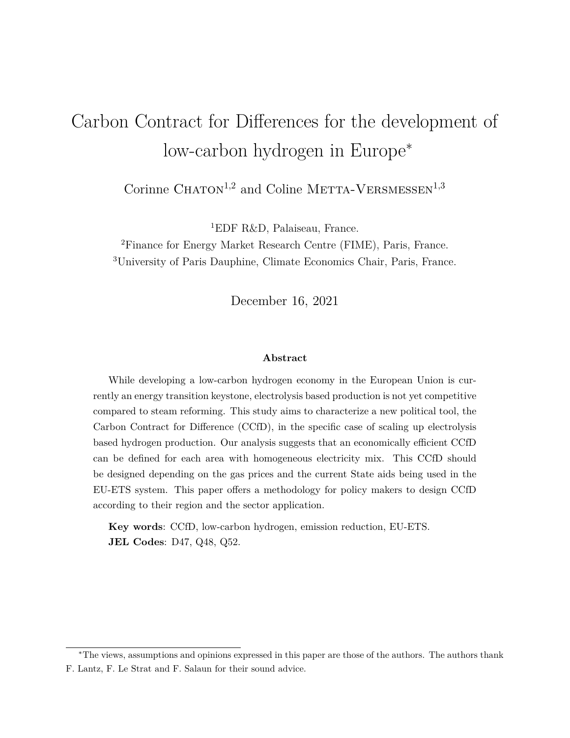# <span id="page-0-0"></span>Carbon Contract for Differences for the development of low-carbon hydrogen in Europe<sup>∗</sup>

Corinne  $\mathrm{CHATON}^{1,2}$  and Coline METTA-VERSMESSEN $^{1,3}$ 

<sup>1</sup>EDF R&D, Palaiseau, France.

<sup>2</sup>Finance for Energy Market Research Centre (FIME), Paris, France. <sup>3</sup>University of Paris Dauphine, Climate Economics Chair, Paris, France.

December 16, 2021

#### **Abstract**

While developing a low-carbon hydrogen economy in the European Union is currently an energy transition keystone, electrolysis based production is not yet competitive compared to steam reforming. This study aims to characterize a new political tool, the Carbon Contract for Difference (CCfD), in the specific case of scaling up electrolysis based hydrogen production. Our analysis suggests that an economically efficient CCfD can be defined for each area with homogeneous electricity mix. This CCfD should be designed depending on the gas prices and the current State aids being used in the EU-ETS system. This paper offers a methodology for policy makers to design CCfD according to their region and the sector application.

**Key words**: CCfD, low-carbon hydrogen, emission reduction, EU-ETS. **JEL Codes**: D47, Q48, Q52.

<sup>∗</sup>The views, assumptions and opinions expressed in this paper are those of the authors. The authors thank F. Lantz, F. Le Strat and F. Salaun for their sound advice.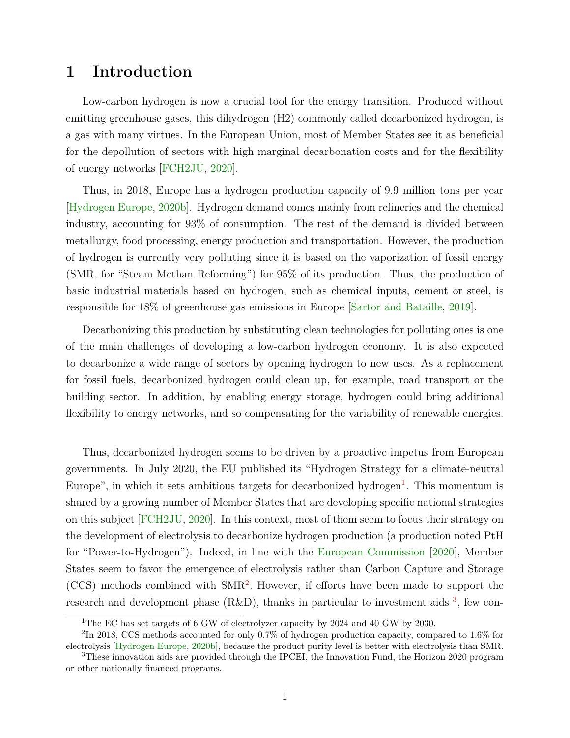## **1 Introduction**

Low-carbon hydrogen is now a crucial tool for the energy transition. Produced without emitting greenhouse gases, this dihydrogen (H2) commonly called decarbonized hydrogen, is a gas with many virtues. In the European Union, most of Member States see it as beneficial for the depollution of sectors with high marginal decarbonation costs and for the flexibility of energy networks [\[FCH2JU,](#page-21-0) [2020\]](#page-21-0).

Thus, in 2018, Europe has a hydrogen production capacity of 9.9 million tons per year [\[Hydrogen Europe,](#page-22-0) [2020b\]](#page-22-0). Hydrogen demand comes mainly from refineries and the chemical industry, accounting for 93% of consumption. The rest of the demand is divided between metallurgy, food processing, energy production and transportation. However, the production of hydrogen is currently very polluting since it is based on the vaporization of fossil energy (SMR, for "Steam Methan Reforming") for 95% of its production. Thus, the production of basic industrial materials based on hydrogen, such as chemical inputs, cement or steel, is responsible for 18% of greenhouse gas emissions in Europe [\[Sartor and Bataille,](#page-22-1) [2019\]](#page-22-1).

Decarbonizing this production by substituting clean technologies for polluting ones is one of the main challenges of developing a low-carbon hydrogen economy. It is also expected to decarbonize a wide range of sectors by opening hydrogen to new uses. As a replacement for fossil fuels, decarbonized hydrogen could clean up, for example, road transport or the building sector. In addition, by enabling energy storage, hydrogen could bring additional flexibility to energy networks, and so compensating for the variability of renewable energies.

Thus, decarbonized hydrogen seems to be driven by a proactive impetus from European governments. In July 2020, the EU published its "Hydrogen Strategy for a climate-neutral Europe", in which it sets ambitious targets for decarbonized hydrogen<sup>[1](#page-0-0)</sup>. This momentum is shared by a growing number of Member States that are developing specific national strategies on this subject [\[FCH2JU,](#page-21-0) [2020\]](#page-21-0). In this context, most of them seem to focus their strategy on the development of electrolysis to decarbonize hydrogen production (a production noted PtH for "Power-to-Hydrogen"). Indeed, in line with the [European Commission](#page-21-1) [\[2020\]](#page-21-1), Member States seem to favor the emergence of electrolysis rather than Carbon Capture and Storage (CCS) methods combined with SMR[2](#page-0-0) . However, if efforts have been made to support the research and development phase  $(R&D)$ , thanks in particular to investment aids  $3$ , few con-

<sup>1</sup>The EC has set targets of 6 GW of electrolyzer capacity by 2024 and 40 GW by 2030.

<sup>&</sup>lt;sup>2</sup>In 2018, CCS methods accounted for only 0.7% of hydrogen production capacity, compared to 1.6% for electrolysis [\[Hydrogen Europe,](#page-22-0) [2020b\]](#page-22-0), because the product purity level is better with electrolysis than SMR.

<sup>3</sup>These innovation aids are provided through the IPCEI, the Innovation Fund, the Horizon 2020 program or other nationally financed programs.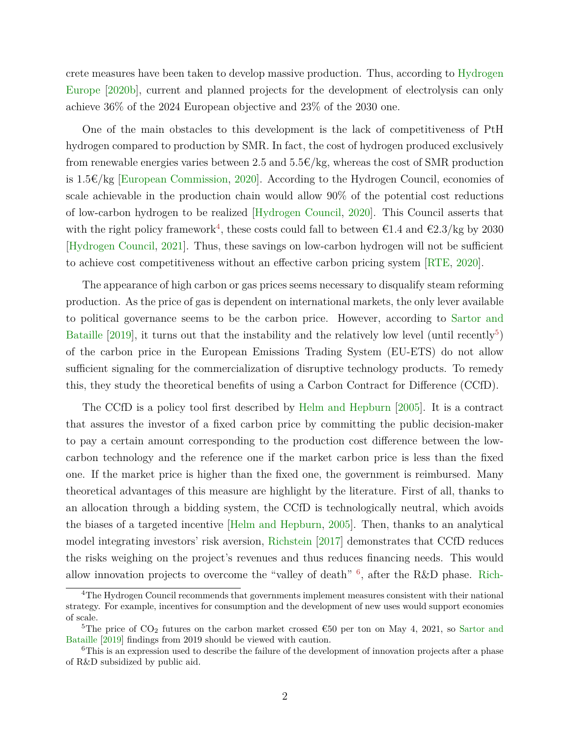crete measures have been taken to develop massive production. Thus, according to [Hydrogen](#page-22-0) [Europe](#page-22-0) [\[2020b\]](#page-22-0), current and planned projects for the development of electrolysis can only achieve 36% of the 2024 European objective and 23% of the 2030 one.

One of the main obstacles to this development is the lack of competitiveness of PtH hydrogen compared to production by SMR. In fact, the cost of hydrogen produced exclusively from renewable energies varies between 2.5 and  $5.5 \in \ell$  kg, whereas the cost of SMR production is 1.5€/kg [\[European Commission,](#page-21-1) [2020\]](#page-21-1). According to the Hydrogen Council, economies of scale achievable in the production chain would allow 90% of the potential cost reductions of low-carbon hydrogen to be realized [\[Hydrogen Council,](#page-21-2) [2020\]](#page-21-2). This Council asserts that with the right policy framework<sup>[4](#page-0-0)</sup>, these costs could fall to between  $\epsilon$ 1.4 and  $\epsilon$ 2.3/kg by 2030 [\[Hydrogen Council,](#page-21-3) [2021\]](#page-21-3). Thus, these savings on low-carbon hydrogen will not be sufficient to achieve cost competitiveness without an effective carbon pricing system [\[RTE,](#page-22-2) [2020\]](#page-22-2).

The appearance of high carbon or gas prices seems necessary to disqualify steam reforming production. As the price of gas is dependent on international markets, the only lever available to political governance seems to be the carbon price. However, according to [Sartor and](#page-22-1) [Bataille](#page-22-1)  $[2019]$ , it turns out that the instability and the relatively low level (until recently<sup>[5](#page-0-0)</sup>) of the carbon price in the European Emissions Trading System (EU-ETS) do not allow sufficient signaling for the commercialization of disruptive technology products. To remedy this, they study the theoretical benefits of using a Carbon Contract for Difference (CCfD).

The CCfD is a policy tool first described by [Helm and Hepburn](#page-21-4) [\[2005\]](#page-21-4). It is a contract that assures the investor of a fixed carbon price by committing the public decision-maker to pay a certain amount corresponding to the production cost difference between the lowcarbon technology and the reference one if the market carbon price is less than the fixed one. If the market price is higher than the fixed one, the government is reimbursed. Many theoretical advantages of this measure are highlight by the literature. First of all, thanks to an allocation through a bidding system, the CCfD is technologically neutral, which avoids the biases of a targeted incentive [\[Helm and Hepburn,](#page-21-4) [2005\]](#page-21-4). Then, thanks to an analytical model integrating investors' risk aversion, [Richstein](#page-22-3) [\[2017\]](#page-22-3) demonstrates that CCfD reduces the risks weighing on the project's revenues and thus reduces financing needs. This would allow innovation projects to overcome the "valley of death"  $\frac{6}{7}$  $\frac{6}{7}$  $\frac{6}{7}$ , after the R&D phase. [Rich-](#page-22-4)

<sup>&</sup>lt;sup>4</sup>[The Hydrogen Council recommends that governments implement measures consistent with their national](#page-22-4) [strategy. For example, incentives for consumption and the development of new uses would support economies](#page-22-4) [of scale.](#page-22-4)

<sup>&</sup>lt;sup>5</sup>The price of CO<sub>2</sub> [futures on the carbon market crossed](#page-22-4)  $\epsilon$ 50 per ton on May 4, 2021, so [Sartor and](#page-22-1) [Bataille](#page-22-1) [\[2019\] findings from 2019 should be viewed with caution.](#page-22-4)

<sup>&</sup>lt;sup>6</sup>[This is an expression used to describe the failure of the development of innovation projects after a phase](#page-22-4) [of R&D subsidized by public aid.](#page-22-4)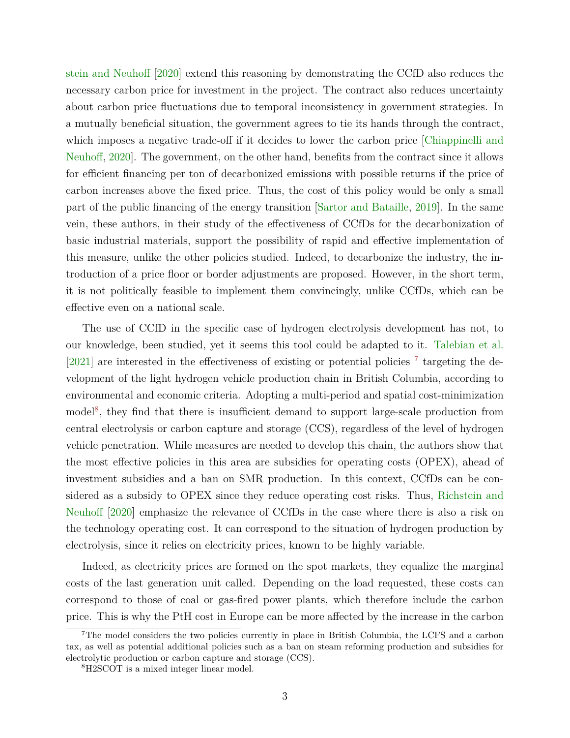[stein and Neuhoff](#page-22-4) [\[2020\]](#page-22-4) extend this reasoning by demonstrating the CCfD also reduces the necessary carbon price for investment in the project. The contract also reduces uncertainty about carbon price fluctuations due to temporal inconsistency in government strategies. In a mutually beneficial situation, the government agrees to tie its hands through the contract, which imposes a negative trade-off if it decides to lower the carbon price [\[Chiappinelli and](#page-21-5) [Neuhoff,](#page-21-5) [2020\]](#page-21-5). The government, on the other hand, benefits from the contract since it allows for efficient financing per ton of decarbonized emissions with possible returns if the price of carbon increases above the fixed price. Thus, the cost of this policy would be only a small part of the public financing of the energy transition [\[Sartor and Bataille,](#page-22-1) [2019\]](#page-22-1). In the same vein, these authors, in their study of the effectiveness of CCfDs for the decarbonization of basic industrial materials, support the possibility of rapid and effective implementation of this measure, unlike the other policies studied. Indeed, to decarbonize the industry, the introduction of a price floor or border adjustments are proposed. However, in the short term, it is not politically feasible to implement them convincingly, unlike CCfDs, which can be effective even on a national scale.

The use of CCfD in the specific case of hydrogen electrolysis development has not, to our knowledge, been studied, yet it seems this tool could be adapted to it. [Talebian et al.](#page-22-5) [\[2021\]](#page-22-5) are interested in the effectiveness of existing or potential policies<sup>[7](#page-0-0)</sup> targeting the development of the light hydrogen vehicle production chain in British Columbia, according to environmental and economic criteria. Adopting a multi-period and spatial cost-minimization model<sup>[8](#page-0-0)</sup>, they find that there is insufficient demand to support large-scale production from central electrolysis or carbon capture and storage (CCS), regardless of the level of hydrogen vehicle penetration. While measures are needed to develop this chain, the authors show that the most effective policies in this area are subsidies for operating costs (OPEX), ahead of investment subsidies and a ban on SMR production. In this context, CCfDs can be considered as a subsidy to OPEX since they reduce operating cost risks. Thus, [Richstein and](#page-22-4) [Neuhoff](#page-22-4) [\[2020\]](#page-22-4) emphasize the relevance of CCfDs in the case where there is also a risk on the technology operating cost. It can correspond to the situation of hydrogen production by electrolysis, since it relies on electricity prices, known to be highly variable.

Indeed, as electricity prices are formed on the spot markets, they equalize the marginal costs of the last generation unit called. Depending on the load requested, these costs can correspond to those of coal or gas-fired power plants, which therefore include the carbon price. This is why the PtH cost in Europe can be more affected by the increase in the carbon

<sup>&</sup>lt;sup>7</sup>The model considers the two policies currently in place in British Columbia, the LCFS and a carbon tax, as well as potential additional policies such as a ban on steam reforming production and subsidies for electrolytic production or carbon capture and storage (CCS).

<sup>8</sup>H2SCOT is a mixed integer linear model.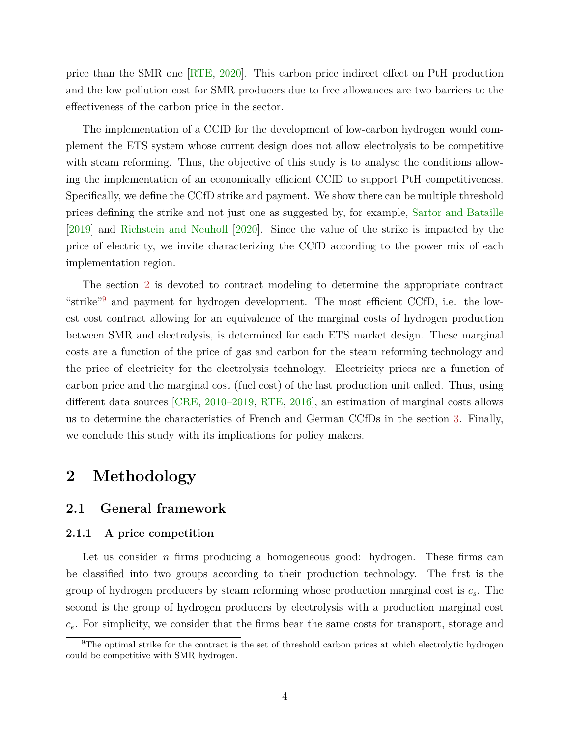price than the SMR one [\[RTE,](#page-22-2) [2020\]](#page-22-2). This carbon price indirect effect on PtH production and the low pollution cost for SMR producers due to free allowances are two barriers to the effectiveness of the carbon price in the sector.

The implementation of a CCfD for the development of low-carbon hydrogen would complement the ETS system whose current design does not allow electrolysis to be competitive with steam reforming. Thus, the objective of this study is to analyse the conditions allowing the implementation of an economically efficient CCfD to support PtH competitiveness. Specifically, we define the CCfD strike and payment. We show there can be multiple threshold prices defining the strike and not just one as suggested by, for example, [Sartor and Bataille](#page-22-1) [\[2019\]](#page-22-1) and [Richstein and Neuhoff](#page-22-4) [\[2020\]](#page-22-4). Since the value of the strike is impacted by the price of electricity, we invite characterizing the CCfD according to the power mix of each implementation region.

The section [2](#page-4-0) is devoted to contract modeling to determine the appropriate contract "strike"[9](#page-0-0) and payment for hydrogen development. The most efficient CCfD, i.e. the lowest cost contract allowing for an equivalence of the marginal costs of hydrogen production between SMR and electrolysis, is determined for each ETS market design. These marginal costs are a function of the price of gas and carbon for the steam reforming technology and the price of electricity for the electrolysis technology. Electricity prices are a function of carbon price and the marginal cost (fuel cost) of the last production unit called. Thus, using different data sources [\[CRE,](#page-21-6) [2010–2019,](#page-21-6) [RTE,](#page-22-6) [2016\]](#page-22-6), an estimation of marginal costs allows us to determine the characteristics of French and German CCfDs in the section [3.](#page-10-0) Finally, we conclude this study with its implications for policy makers.

# <span id="page-4-0"></span>**2 Methodology**

## **2.1 General framework**

#### **2.1.1 A price competition**

Let us consider *n* firms producing a homogeneous good: hydrogen. These firms can be classified into two groups according to their production technology. The first is the group of hydrogen producers by steam reforming whose production marginal cost is *cs*. The second is the group of hydrogen producers by electrolysis with a production marginal cost *ce*. For simplicity, we consider that the firms bear the same costs for transport, storage and

 $9$ The optimal strike for the contract is the set of threshold carbon prices at which electrolytic hydrogen could be competitive with SMR hydrogen.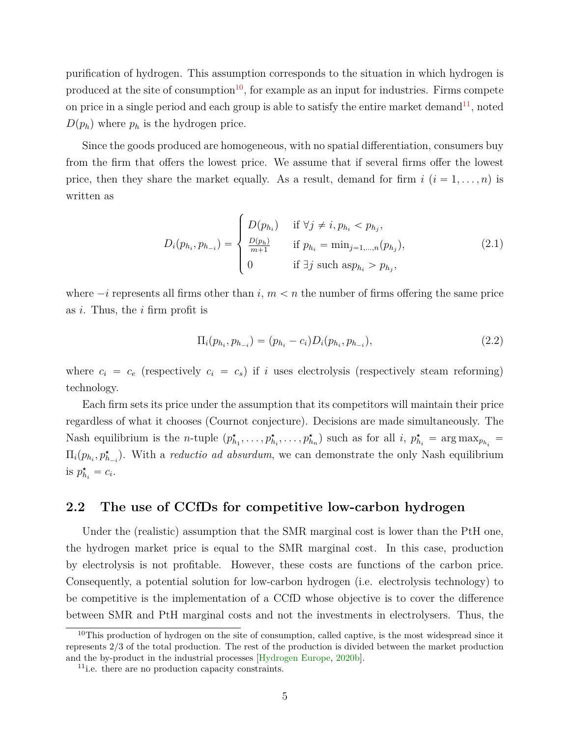purification of hydrogen. This assumption corresponds to the situation in which hydrogen is produced at the site of consumption<sup>[10](#page-0-0)</sup>, for example as an input for industries. Firms compete on price in a single period and each group is able to satisfy the entire market demand<sup>[11](#page-0-0)</sup>, noted  $D(p_h)$  where  $p_h$  is the hydrogen price.

Since the goods produced are homogeneous, with no spatial differentiation, consumers buy from the firm that offers the lowest price. We assume that if several firms offer the lowest price, then they share the market equally. As a result, demand for firm  $i$   $(i = 1, \ldots, n)$  is written as

$$
D_i(p_{h_i}, p_{h_{-i}}) = \begin{cases} D(p_{h_i}) & \text{if } \forall j \neq i, p_{h_i} < p_{h_j}, \\ \frac{D(p_{h})}{m+1} & \text{if } p_{h_i} = \min_{j=1,\dots,n} (p_{h_j}), \\ 0 & \text{if } \exists j \text{ such as } p_{h_i} > p_{h_j}, \end{cases} \tag{2.1}
$$

where  $-i$  represents all firms other than *i*,  $m < n$  the number of firms offering the same price as *i*. Thus, the *i* firm profit is

$$
\Pi_i(p_{h_i}, p_{h_{-i}}) = (p_{h_i} - c_i)D_i(p_{h_i}, p_{h_{-i}}),
$$
\n(2.2)

where  $c_i = c_e$  (respectively  $c_i = c_s$ ) if *i* uses electrolysis (respectively steam reforming) technology.

Each firm sets its price under the assumption that its competitors will maintain their price regardless of what it chooses (Cournot conjecture). Decisions are made simultaneously. The Nash equilibrium is the *n*-tuple  $(p_{h_1}^*, \ldots, p_{h_i}^*, \ldots, p_{h_n}^*)$  such as for all *i*,  $p_{h_i}^* = \arg \max_{p_{h_i}} =$  $\Pi_i(p_{h_i}, p_{h_{-i}}^{\star})$ . With a *reductio ad absurdum*, we can demonstrate the only Nash equilibrium is  $p_{h_i}^{\star} = c_i$ .

#### **2.2 The use of CCfDs for competitive low-carbon hydrogen**

Under the (realistic) assumption that the SMR marginal cost is lower than the PtH one, the hydrogen market price is equal to the SMR marginal cost. In this case, production by electrolysis is not profitable. However, these costs are functions of the carbon price. Consequently, a potential solution for low-carbon hydrogen (i.e. electrolysis technology) to be competitive is the implementation of a CCfD whose objective is to cover the difference between SMR and PtH marginal costs and not the investments in electrolysers. Thus, the

 $10$ This production of hydrogen on the site of consumption, called captive, is the most widespread since it represents 2/3 of the total production. The rest of the production is divided between the market production and the by-product in the industrial processes [\[Hydrogen Europe,](#page-22-0) [2020b\]](#page-22-0).

<sup>11</sup>i.e. there are no production capacity constraints.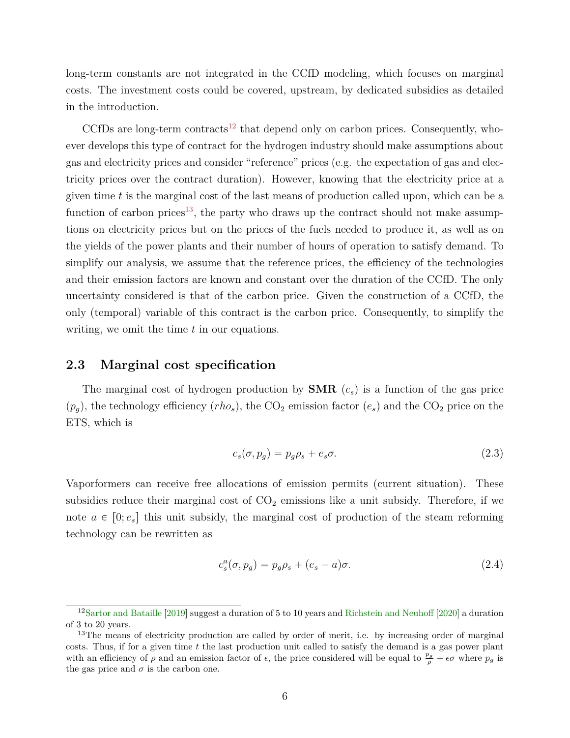long-term constants are not integrated in the CCfD modeling, which focuses on marginal costs. The investment costs could be covered, upstream, by dedicated subsidies as detailed in the introduction.

CCfDs are long-term contracts<sup>[12](#page-0-0)</sup> that depend only on carbon prices. Consequently, whoever develops this type of contract for the hydrogen industry should make assumptions about gas and electricity prices and consider "reference" prices (e.g. the expectation of gas and electricity prices over the contract duration). However, knowing that the electricity price at a given time *t* is the marginal cost of the last means of production called upon, which can be a function of carbon prices<sup>[13](#page-0-0)</sup>, the party who draws up the contract should not make assumptions on electricity prices but on the prices of the fuels needed to produce it, as well as on the yields of the power plants and their number of hours of operation to satisfy demand. To simplify our analysis, we assume that the reference prices, the efficiency of the technologies and their emission factors are known and constant over the duration of the CCfD. The only uncertainty considered is that of the carbon price. Given the construction of a CCfD, the only (temporal) variable of this contract is the carbon price. Consequently, to simplify the writing, we omit the time *t* in our equations.

#### **2.3 Marginal cost specification**

The marginal cost of hydrogen production by **SMR** (*cs*) is a function of the gas price  $(p_q)$ , the technology efficiency  $(rho_s)$ , the CO<sub>2</sub> emission factor  $(e_s)$  and the CO<sub>2</sub> price on the ETS, which is

$$
c_s(\sigma, p_g) = p_g \rho_s + e_s \sigma. \tag{2.3}
$$

Vaporformers can receive free allocations of emission permits (current situation). These subsidies reduce their marginal cost of  $CO<sub>2</sub>$  emissions like a unit subsidy. Therefore, if we note  $a \in [0; e_s]$  this unit subsidy, the marginal cost of production of the steam reforming technology can be rewritten as

<span id="page-6-0"></span>
$$
c_s^a(\sigma, p_g) = p_g \rho_s + (e_s - a)\sigma.
$$
\n(2.4)

<sup>12</sup>[Sartor and Bataille](#page-22-1) [\[2019\]](#page-22-1) suggest a duration of 5 to 10 years and [Richstein and Neuhoff](#page-22-4) [\[2020\]](#page-22-4) a duration of 3 to 20 years.

<sup>&</sup>lt;sup>13</sup>The means of electricity production are called by order of merit, i.e. by increasing order of marginal costs. Thus, if for a given time *t* the last production unit called to satisfy the demand is a gas power plant with an efficiency of  $\rho$  and an emission factor of  $\epsilon$ , the price considered will be equal to  $\frac{p_g}{\rho} + \epsilon \sigma$  where  $p_g$  is the gas price and  $\sigma$  is the carbon one.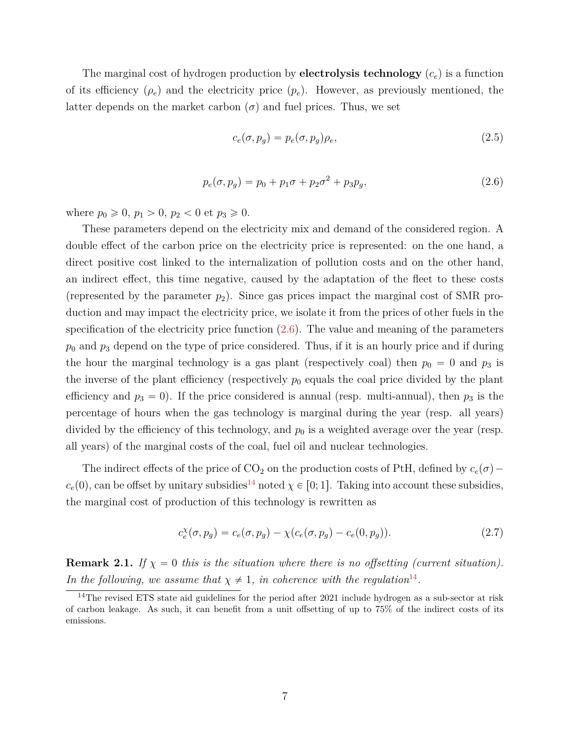The marginal cost of hydrogen production by **electrolysis technology** (*ce*) is a function of its efficiency  $(\rho_e)$  and the electricity price  $(p_e)$ . However, as previously mentioned, the latter depends on the market carbon  $(\sigma)$  and fuel prices. Thus, we set

<span id="page-7-1"></span><span id="page-7-0"></span>
$$
c_e(\sigma, p_g) = p_e(\sigma, p_g)\rho_e,\tag{2.5}
$$

$$
p_e(\sigma, p_g) = p_0 + p_1 \sigma + p_2 \sigma^2 + p_3 p_g,
$$
\n(2.6)

where  $p_0 \geq 0$ ,  $p_1 > 0$ ,  $p_2 < 0$  et  $p_3 \geq 0$ .

These parameters depend on the electricity mix and demand of the considered region. A double effect of the carbon price on the electricity price is represented: on the one hand, a direct positive cost linked to the internalization of pollution costs and on the other hand, an indirect effect, this time negative, caused by the adaptation of the fleet to these costs (represented by the parameter  $p_2$ ). Since gas prices impact the marginal cost of SMR production and may impact the electricity price, we isolate it from the prices of other fuels in the specification of the electricity price function  $(2.6)$ . The value and meaning of the parameters *p*<sup>0</sup> and *p*<sup>3</sup> depend on the type of price considered. Thus, if it is an hourly price and if during the hour the marginal technology is a gas plant (respectively coal) then  $p_0 = 0$  and  $p_3$  is the inverse of the plant efficiency (respectively  $p_0$  equals the coal price divided by the plant efficiency and  $p_3 = 0$ ). If the price considered is annual (resp. multi-annual), then  $p_3$  is the percentage of hours when the gas technology is marginal during the year (resp. all years) divided by the efficiency of this technology, and *p*<sup>0</sup> is a weighted average over the year (resp. all years) of the marginal costs of the coal, fuel oil and nuclear technologies.

The indirect effects of the price of  $CO_2$  on the production costs of PtH, defined by  $c_e(\sigma)$  –  $c_e(0)$ , can be offset by unitary subsidies<sup>[14](#page-0-0)</sup> noted  $\chi \in [0; 1]$ . Taking into account these subsidies, the marginal cost of production of this technology is rewritten as

$$
c_e^{\chi}(\sigma, p_g) = c_e(\sigma, p_g) - \chi(c_e(\sigma, p_g) - c_e(0, p_g)).
$$
\n(2.7)

**Remark 2.1.** *If*  $\chi = 0$  *this is the situation where there is no offsetting (current situation). In the following, we assume that*  $\chi \neq 1$ *, in coherence with the regulation*<sup>[14](#page-0-0)</sup>.

<sup>&</sup>lt;sup>14</sup>The revised ETS state aid guidelines for the period after 2021 include hydrogen as a sub-sector at risk of carbon leakage. As such, it can benefit from a unit offsetting of up to 75% of the indirect costs of its emissions.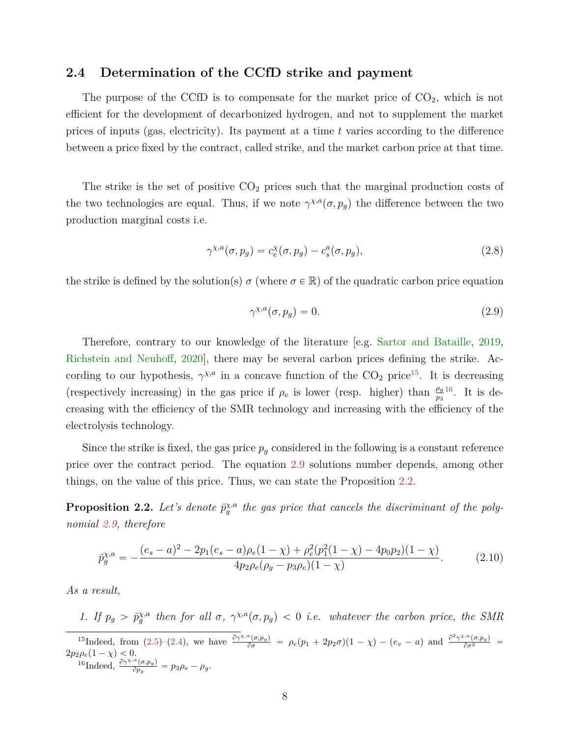#### **2.4 Determination of the CCfD strike and payment**

The purpose of the CCfD is to compensate for the market price of  $CO<sub>2</sub>$ , which is not efficient for the development of decarbonized hydrogen, and not to supplement the market prices of inputs (gas, electricity). Its payment at a time *t* varies according to the difference between a price fixed by the contract, called strike, and the market carbon price at that time.

The strike is the set of positive  $CO<sub>2</sub>$  prices such that the marginal production costs of the two technologies are equal. Thus, if we note  $\gamma^{\chi,a}(\sigma, p_g)$  the difference between the two production marginal costs i.e.

$$
\gamma^{\chi,a}(\sigma, p_g) = c_e^{\chi}(\sigma, p_g) - c_s^a(\sigma, p_g), \qquad (2.8)
$$

the strike is defined by the solution(s)  $\sigma$  (where  $\sigma \in \mathbb{R}$ ) of the quadratic carbon price equation

<span id="page-8-2"></span><span id="page-8-0"></span>
$$
\gamma^{\chi,a}(\sigma, p_g) = 0. \tag{2.9}
$$

Therefore, contrary to our knowledge of the literature [e.g. [Sartor and Bataille,](#page-22-1) [2019,](#page-22-1) [Richstein and Neuhoff,](#page-22-4) [2020\]](#page-22-4), there may be several carbon prices defining the strike. According to our hypothesis,  $\gamma^{\chi,a}$  in a concave function of the CO<sub>2</sub> price<sup>[15](#page-0-0)</sup>. It is decreasing (respectively increasing) in the gas price if  $\rho_e$  is lower (resp. higher) than  $\frac{\rho_g}{p_3}^{16}$  $\frac{\rho_g}{p_3}^{16}$  $\frac{\rho_g}{p_3}^{16}$ . It is decreasing with the efficiency of the SMR technology and increasing with the efficiency of the electrolysis technology.

Since the strike is fixed, the gas price  $p_g$  considered in the following is a constant reference price over the contract period. The equation [2.9](#page-8-0) solutions number depends, among other things, on the value of this price. Thus, we can state the Proposition [2.2.](#page-8-1)

<span id="page-8-1"></span>**Proposition 2.2.** Let's denote  $\bar{p}_{g}^{\chi,a}$  the gas price that cancels the discriminant of the poly*nomial [2.9,](#page-8-0) therefore*

$$
\bar{p}_g^{\chi,a} = -\frac{(e_s - a)^2 - 2p_1(e_s - a)\rho_e(1 - \chi) + \rho_e^2(p_1^2(1 - \chi) - 4p_0p_2)(1 - \chi)}{4p_2\rho_e(\rho_g - p_3\rho_e)(1 - \chi)}.
$$
(2.10)

*As a result,*

*1.* If  $p_g > \bar{p}_g^{\chi,a}$  then for all  $\sigma$ ,  $\gamma^{\chi,a}(\sigma, p_g) < 0$  *i.e.* whatever the carbon price, the SMR <sup>15</sup>Indeed, from [\(2.5\)](#page-7-1)-[\(2.4\)](#page-6-0), we have  $\frac{\partial \gamma^{x,a}(\sigma,p_g)}{\partial \sigma} = \rho_e(p_1 + 2p_2\sigma)(1-\chi) - (e_v - a)$  and  $\frac{\partial^2 \gamma^{x,a}(\sigma,p_g)}{\partial \sigma^2} =$  $2p_2\rho_e(1-\chi) < 0.$ <sup>16</sup>Indeed,  $\frac{\partial \gamma^{\chi,a}(\sigma, p_g)}{\partial p}$  $\frac{\partial^2 \sigma}{\partial p_g} = p_3 \rho_e - \rho_g.$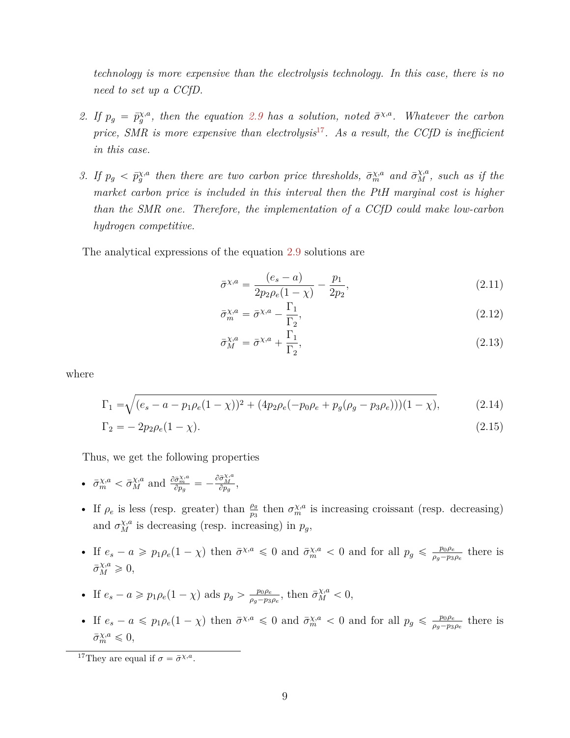*technology is more expensive than the electrolysis technology. In this case, there is no need to set up a CCfD.*

- 2. If  $p_g = \bar{p}_g^{\chi,a}$ , then the equation [2.9](#page-8-0) has a solution, noted  $\bar{\sigma}^{\chi,a}$ . Whatever the carbon *price, SMR is more expensive than electrolysis*[17](#page-0-0)*. As a result, the CCfD is inefficient in this case.*
- *3.* If  $p_g < \bar{p}_g^{\chi,a}$  then there are two carbon price thresholds,  $\bar{\sigma}_m^{\chi,a}$  and  $\bar{\sigma}_M^{\chi,a}$ , such as if the *market carbon price is included in this interval then the PtH marginal cost is higher than the SMR one. Therefore, the implementation of a CCfD could make low-carbon hydrogen competitive.*

The analytical expressions of the equation [2.9](#page-8-0) solutions are

$$
\bar{\sigma}^{\chi,a} = \frac{(e_s - a)}{2p_2 \rho_e (1 - \chi)} - \frac{p_1}{2p_2},\tag{2.11}
$$

$$
\bar{\sigma}_m^{\chi,a} = \bar{\sigma}^{\chi,a} - \frac{\Gamma_1}{\Gamma_2},\tag{2.12}
$$

<span id="page-9-1"></span><span id="page-9-0"></span>
$$
\bar{\sigma}_M^{\chi,a} = \bar{\sigma}^{\chi,a} + \frac{\Gamma_1}{\Gamma_2},\tag{2.13}
$$

where

$$
\Gamma_1 = \sqrt{(e_s - a - p_1 \rho_e (1 - \chi))^2 + (4p_2 \rho_e (-p_0 \rho_e + p_g (\rho_g - p_3 \rho_e)))(1 - \chi)},\tag{2.14}
$$

$$
\Gamma_2 = -2p_2 \rho_e (1 - \chi). \tag{2.15}
$$

Thus, we get the following properties

• 
$$
\bar{\sigma}_{m}^{\chi,a} < \bar{\sigma}_{M}^{\chi,a}
$$
 and  $\frac{\partial \bar{\sigma}_{m}^{\chi,a}}{\partial p_{g}} = -\frac{\partial \bar{\sigma}_{M}^{\chi,a}}{\partial p_{g}},$ 

b

- If  $\rho_e$  is less (resp. greater) than  $\frac{\rho_g}{p_3}$  then  $\sigma_m^{\chi,a}$  is increasing croissant (resp. decreasing) and  $\sigma_M^{\chi,a}$  is decreasing (resp. increasing) in  $p_g$ ,
- If  $e_s a \geqslant p_1 \rho_e (1 \chi)$  then  $\bar{\sigma}^{\chi,a} \leqslant 0$  and  $\bar{\sigma}^{\chi,a}_m < 0$  and for all  $p_g \leqslant \frac{p_0 \rho_e}{\rho_g p_3}$  $\frac{p_0 \rho_e}{\rho_g - p_3 \rho_e}$  there is  $\bar{\sigma}_M^{\chi,a} \geq 0,$
- If  $e_s a \geq p_1 \rho_e (1 \chi)$  ads  $p_g > \frac{p_0 \rho_e}{\rho_e p_3}$  $\frac{p_0 \rho_e}{\rho_g - p_3 \rho_e}$ , then  $\bar{\sigma}_M^{\chi, a} < 0$ ,
- If  $e_s a \leqslant p_1 \rho_e (1 \chi)$  then  $\bar{\sigma}^{\chi,a} \leqslant 0$  and  $\bar{\sigma}^{\chi,a}_m < 0$  and for all  $p_g \leqslant \frac{p_0 \rho_e}{\rho_g p_3}$  $\frac{p_0 \rho_e}{\rho_g - p_3 \rho_e}$  there is  $\bar{\sigma}_{m}^{\chi,a} \leq 0,$

<sup>&</sup>lt;sup>17</sup>They are equal if  $\sigma = \bar{\sigma}^{\chi,a}$ .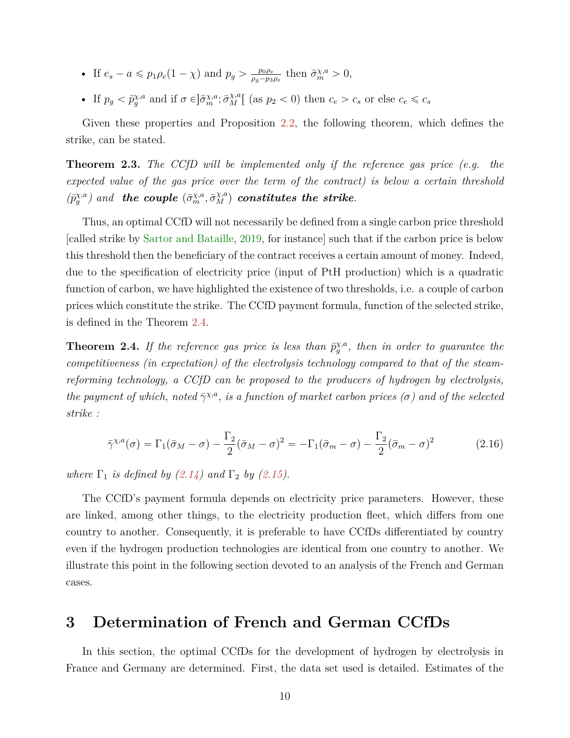- If  $e_s a \leq p_1 \rho_e (1 \chi)$  and  $p_g > \frac{p_0 \rho_e}{\rho_s p_2}$  $\frac{p_0 \rho_e}{\rho_g - p_3 \rho_e}$  then  $\bar{\sigma}_m^{\chi,a} > 0$ ,
- If  $p_g < \bar{p}_g^{\chi,a}$  and if  $\sigma \in ]\bar{\sigma}_m^{\chi,a}; \bar{\sigma}_M^{\chi,a}]$  (as  $p_2 < 0$ ) then  $c_e > c_s$  or else  $c_e \leq c_s$

Given these properties and Proposition [2.2,](#page-8-1) the following theorem, which defines the strike, can be stated.

**Theorem 2.3.** *The CCfD will be implemented only if the reference gas price (e.g. the expected value of the gas price over the term of the contract) is below a certain threshold*  $(\bar{p}_{g}^{\chi,a})$  and the couple  $(\bar{\sigma}_{m}^{\chi,a}, \bar{\sigma}_{M}^{\chi,a})$  constitutes the strike.

Thus, an optimal CCfD will not necessarily be defined from a single carbon price threshold [called strike by [Sartor and Bataille,](#page-22-1) [2019,](#page-22-1) for instance] such that if the carbon price is below this threshold then the beneficiary of the contract receives a certain amount of money. Indeed, due to the specification of electricity price (input of PtH production) which is a quadratic function of carbon, we have highlighted the existence of two thresholds, i.e. a couple of carbon prices which constitute the strike. The CCfD payment formula, function of the selected strike, is defined in the Theorem [2.4.](#page-10-1)

<span id="page-10-1"></span>**Theorem 2.4.** If the reference gas price is less than  $\bar{p}_{g}^{\chi,a}$ , then in order to guarantee the *competitiveness (in expectation) of the electrolysis technology compared to that of the steamreforming technology, a CCfD can be proposed to the producers of hydrogen by electrolysis, the payment of which, noted*  $\bar{\gamma}^{\chi,a}$ *, is a function of market carbon prices (* $\sigma$ *) and of the selected strike :*

$$
\bar{\gamma}^{\chi,a}(\sigma) = \Gamma_1(\bar{\sigma}_M - \sigma) - \frac{\Gamma_2}{2}(\bar{\sigma}_M - \sigma)^2 = -\Gamma_1(\bar{\sigma}_m - \sigma) - \frac{\Gamma_2}{2}(\bar{\sigma}_m - \sigma)^2 \tag{2.16}
$$

*where*  $\Gamma_1$  *is defined by [\(2.14\)](#page-9-0) and*  $\Gamma_2$  *by [\(2.15\)](#page-9-1).* 

The CCfD's payment formula depends on electricity price parameters. However, these are linked, among other things, to the electricity production fleet, which differs from one country to another. Consequently, it is preferable to have CCfDs differentiated by country even if the hydrogen production technologies are identical from one country to another. We illustrate this point in the following section devoted to an analysis of the French and German cases.

## <span id="page-10-0"></span>**3 Determination of French and German CCfDs**

In this section, the optimal CCfDs for the development of hydrogen by electrolysis in France and Germany are determined. First, the data set used is detailed. Estimates of the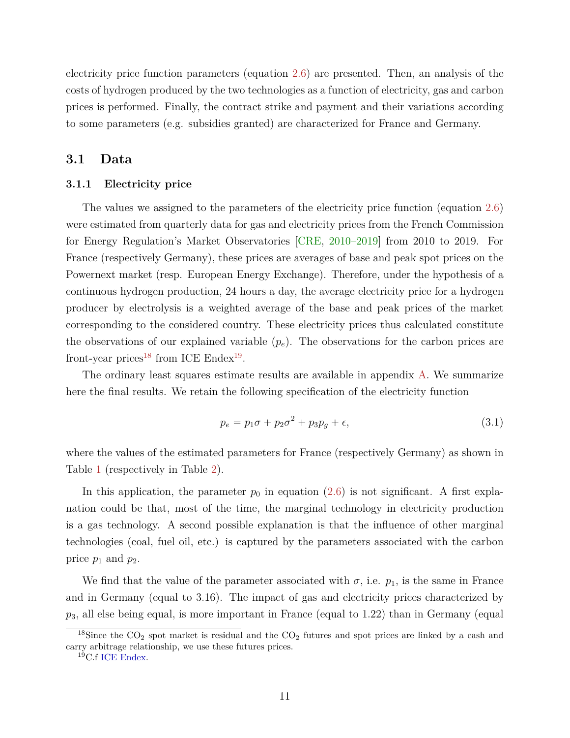electricity price function parameters (equation [2.6\)](#page-7-0) are presented. Then, an analysis of the costs of hydrogen produced by the two technologies as a function of electricity, gas and carbon prices is performed. Finally, the contract strike and payment and their variations according to some parameters (e.g. subsidies granted) are characterized for France and Germany.

## **3.1 Data**

#### <span id="page-11-1"></span>**3.1.1 Electricity price**

The values we assigned to the parameters of the electricity price function (equation [2.6\)](#page-7-0) were estimated from quarterly data for gas and electricity prices from the French Commission for Energy Regulation's Market Observatories [\[CRE,](#page-21-6) [2010–2019\]](#page-21-6) from 2010 to 2019. For France (respectively Germany), these prices are averages of base and peak spot prices on the Powernext market (resp. European Energy Exchange). Therefore, under the hypothesis of a continuous hydrogen production, 24 hours a day, the average electricity price for a hydrogen producer by electrolysis is a weighted average of the base and peak prices of the market corresponding to the considered country. These electricity prices thus calculated constitute the observations of our explained variable  $(p_e)$ . The observations for the carbon prices are front-year prices<sup>[18](#page-0-0)</sup> from ICE Endex<sup>[19](#page-0-0)</sup>.

The ordinary least squares estimate results are available in appendix [A.](#page-23-0) We summarize here the final results. We retain the following specification of the electricity function

<span id="page-11-0"></span>
$$
p_e = p_1 \sigma + p_2 \sigma^2 + p_3 p_g + \epsilon,\tag{3.1}
$$

where the values of the estimated parameters for France (respectively Germany) as shown in Table [1](#page-12-0) (respectively in Table [2\)](#page-12-1).

In this application, the parameter  $p_0$  in equation [\(2.6\)](#page-7-0) is not significant. A first explanation could be that, most of the time, the marginal technology in electricity production is a gas technology. A second possible explanation is that the influence of other marginal technologies (coal, fuel oil, etc.) is captured by the parameters associated with the carbon price  $p_1$  and  $p_2$ .

We find that the value of the parameter associated with  $\sigma$ , i.e.  $p_1$ , is the same in France and in Germany (equal to 3.16). The impact of gas and electricity prices characterized by *p*3, all else being equal, is more important in France (equal to 1.22) than in Germany (equal

<sup>&</sup>lt;sup>18</sup>Since the  $CO_2$  spot market is residual and the  $CO_2$  futures and spot prices are linked by a cash and carry arbitrage relationship, we use these futures prices.

<sup>19</sup>C.f [ICE Endex.](https://www.theice.com/products/4347999/EUAA-Futures/data?marketId=6501040&span=1)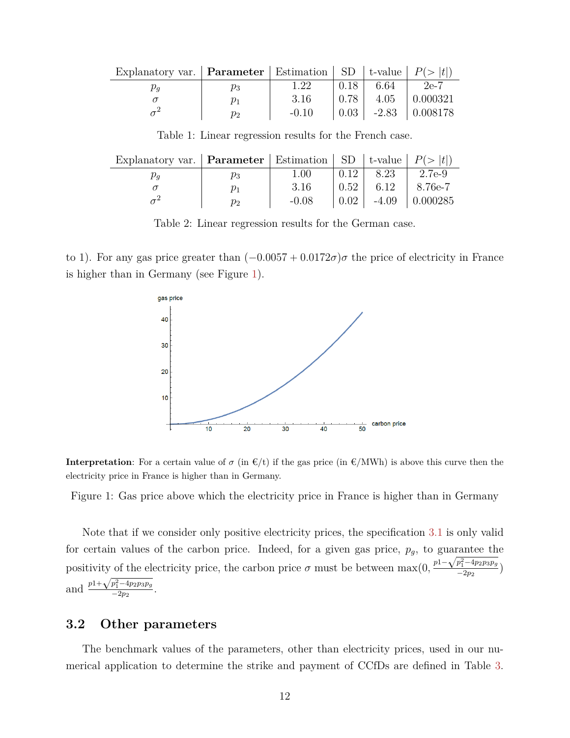<span id="page-12-0"></span>

| Explanatory var.   <b>Parameter</b>   Estimation   SD   t-value   $P(>  t )$ |         |         |                      |                                               |
|------------------------------------------------------------------------------|---------|---------|----------------------|-----------------------------------------------|
|                                                                              | $p_3$   | 1.22    | $0.18$   6.64   2e-7 |                                               |
|                                                                              | $v_1$   | -3.16   |                      | $\vert 0.78 \vert 4.05 \vert 0.000321$        |
|                                                                              | $p_{2}$ | $-0.10$ |                      | $\vert 0.03 \vert -2.83 \vert 0.008178 \vert$ |

Table 1: Linear regression results for the French case.

<span id="page-12-1"></span>

| Explanatory var.   Parameter   Estimation   SD   t-value   $P(>  t )$ |         |         |               |                                         |
|-----------------------------------------------------------------------|---------|---------|---------------|-----------------------------------------|
|                                                                       | $p_3$   | 1.00    | $0.12$   8.23 | $12.7e-9$                               |
|                                                                       | $\nu_1$ | 3.16    |               | $0.52$   6.12   8.76e-7                 |
|                                                                       | $p_{2}$ | $-0.08$ |               | $\vert 0.02 \vert -4.09 \vert 0.000285$ |

Table 2: Linear regression results for the German case.

<span id="page-12-2"></span>to 1). For any gas price greater than  $(-0.0057 + 0.0172\sigma)\sigma$  the price of electricity in France is higher than in Germany (see Figure [1\)](#page-12-2).



**Interpretation**: For a certain value of  $\sigma$  (in  $\mathbf{E}/t$ ) if the gas price (in  $\mathbf{E}/\text{MWh}$ ) is above this curve then the electricity price in France is higher than in Germany.

Figure 1: Gas price above which the electricity price in France is higher than in Germany

Note that if we consider only positive electricity prices, the specification [3.1](#page-11-0) is only valid for certain values of the carbon price. Indeed, for a given gas price,  $p_g$ , to guarantee the positivity of the electricity price, the carbon price  $\sigma$  must be between  $\max(0, \frac{p_1 - \sqrt{p_1^2 - 4p_2p_3p_g}}{-2p_2})$  $\frac{p_1 - p_2 p_3 p_3}{-2p_2}$ and  $\frac{p1+}{p}$  $\sqrt{p_1^2 - 4p_2p_3p_g}$  $\frac{p_1 - 4p_2p_3p_g}{-2p_2}$ .

## **3.2 Other parameters**

The benchmark values of the parameters, other than electricity prices, used in our numerical application to determine the strike and payment of CCfDs are defined in Table [3.](#page-13-0)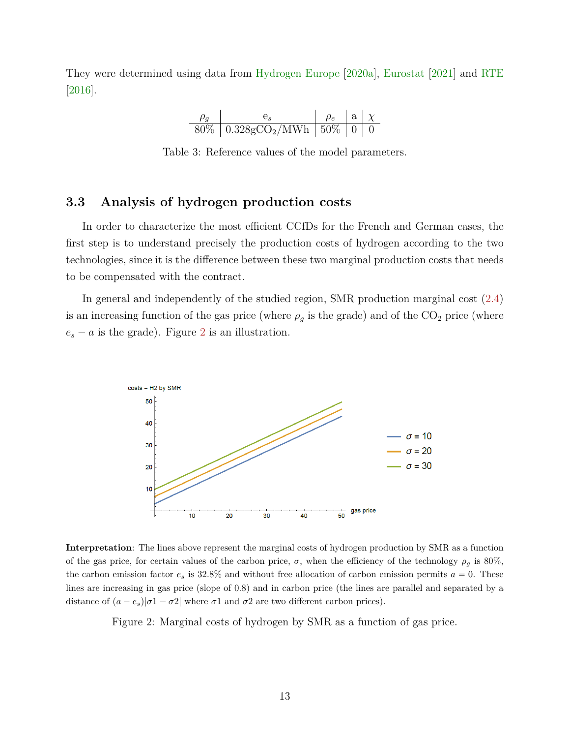<span id="page-13-0"></span>They were determined using data from [Hydrogen Europe](#page-22-7) [\[2020a\]](#page-22-7), [Eurostat](#page-21-7) [\[2021\]](#page-21-7) and [RTE](#page-22-6) [\[2016\]](#page-22-6).

$$
\begin{array}{c|c|c|c|c|c|c|c|c} \hline \rho_g & e_s & \rho_e & \mathbf{a} & \chi \\ \hline 80\% & 0.328 \text{gCO}_2/\text{MWh} & 50\% & 0 & 0 \\ \hline \end{array}
$$

Table 3: Reference values of the model parameters.

## **3.3 Analysis of hydrogen production costs**

In order to characterize the most efficient CCfDs for the French and German cases, the first step is to understand precisely the production costs of hydrogen according to the two technologies, since it is the difference between these two marginal production costs that needs to be compensated with the contract.

In general and independently of the studied region, SMR production marginal cost [\(2.4\)](#page-6-0) is an increasing function of the gas price (where  $\rho_g$  is the grade) and of the  $CO_2$  price (where  $e_s - a$  is the grade). Figure [2](#page-13-1) is an illustration.

<span id="page-13-1"></span>

**Interpretation**: The lines above represent the marginal costs of hydrogen production by SMR as a function of the gas price, for certain values of the carbon price,  $\sigma$ , when the efficiency of the technology  $\rho_q$  is 80%, the carbon emission factor  $e_s$  is 32.8% and without free allocation of carbon emission permits  $a = 0$ . These lines are increasing in gas price (slope of 0.8) and in carbon price (the lines are parallel and separated by a distance of  $(a - e_s)/\sigma 1 - \sigma 2$  where  $\sigma 1$  and  $\sigma 2$  are two different carbon prices).

Figure 2: Marginal costs of hydrogen by SMR as a function of gas price.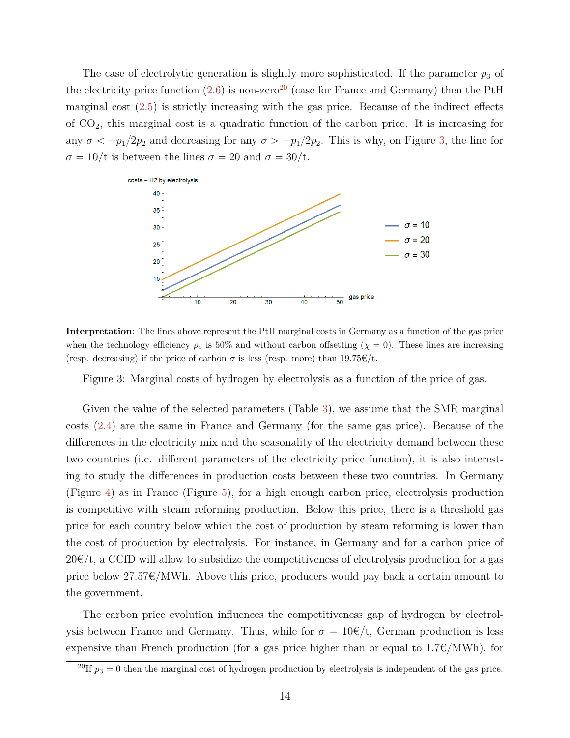The case of electrolytic generation is slightly more sophisticated. If the parameter  $p_3$  of the electricity price function  $(2.6)$  is non-zero<sup>[20](#page-0-0)</sup> (case for France and Germany) then the PtH marginal cost [\(2.5\)](#page-7-1) is strictly increasing with the gas price. Because of the indirect effects of CO2, this marginal cost is a quadratic function of the carbon price. It is increasing for any  $\sigma < -p_1/2p_2$  and decreasing for any  $\sigma > -p_1/2p_2$ . This is why, on Figure [3,](#page-14-0) the line for  $\sigma = 10/t$  is between the lines  $\sigma = 20$  and  $\sigma = 30/t$ .

<span id="page-14-0"></span>

**Interpretation**: The lines above represent the PtH marginal costs in Germany as a function of the gas price when the technology efficiency  $\rho_e$  is 50% and without carbon offsetting  $(\chi = 0)$ . These lines are increasing (resp. decreasing) if the price of carbon  $\sigma$  is less (resp. more) than 19.75 $\epsilon/t$ .

Figure 3: Marginal costs of hydrogen by electrolysis as a function of the price of gas.

Given the value of the selected parameters (Table [3\)](#page-13-0), we assume that the SMR marginal costs [\(2.4\)](#page-6-0) are the same in France and Germany (for the same gas price). Because of the differences in the electricity mix and the seasonality of the electricity demand between these two countries (i.e. different parameters of the electricity price function), it is also interesting to study the differences in production costs between these two countries. In Germany (Figure [4\)](#page-15-0) as in France (Figure [5\)](#page-16-0), for a high enough carbon price, electrolysis production is competitive with steam reforming production. Below this price, there is a threshold gas price for each country below which the cost of production by steam reforming is lower than the cost of production by electrolysis. For instance, in Germany and for a carbon price of  $20 \in \mathcal{L}$ , a CCfD will allow to subsidize the competitiveness of electrolysis production for a gas price below  $27.57\epsilon/MWh$ . Above this price, producers would pay back a certain amount to the government.

The carbon price evolution influences the competitiveness gap of hydrogen by electrolysis between France and Germany. Thus, while for  $\sigma = 10 \epsilon/t$ , German production is less expensive than French production (for a gas price higher than or equal to  $1.7\epsilon/MWh$ ), for

<sup>&</sup>lt;sup>20</sup>If  $p_3 = 0$  then the marginal cost of hydrogen production by electrolysis is independent of the gas price.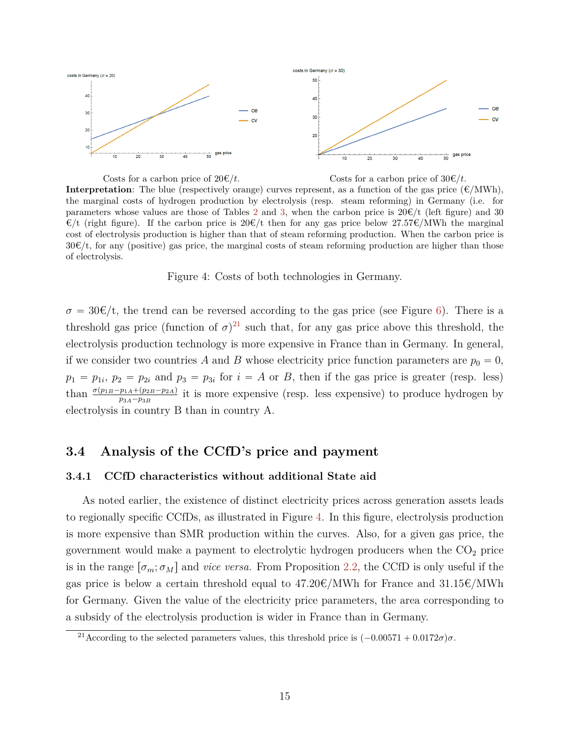<span id="page-15-0"></span>

Costs for a carbon price of  $20 \in \mathcal{E}/t$ . Costs for a carbon price of  $30 \in \mathcal{E}/t$ . **Interpretation**: The blue (respectively orange) curves represent, as a function of the gas price  $(\epsilon/MWh)$ , the marginal costs of hydrogen production by electrolysis (resp. steam reforming) in Germany (i.e. for parameters whose values are those of Tables [2](#page-12-1) and [3,](#page-13-0) when the carbon price is  $20 \in/t$  (left figure) and 30  $\mathcal{E}/t$  (right figure). If the carbon price is 20 $\mathcal{E}/t$  then for any gas price below 27.57 $\mathcal{E}/NWh$  the marginal cost of electrolysis production is higher than that of steam reforming production. When the carbon price is  $30\cdot \text{C}/t$ , for any (positive) gas price, the marginal costs of steam reforming production are higher than those of electrolysis.

Figure 4: Costs of both technologies in Germany.

 $\sigma = 30 \cdot \epsilon/t$ , the trend can be reversed according to the gas price (see Figure [6\)](#page-17-0). There is a threshold gas price (function of  $\sigma$ )<sup>[21](#page-0-0)</sup> such that, for any gas price above this threshold, the electrolysis production technology is more expensive in France than in Germany. In general, if we consider two countries A and B whose electricity price function parameters are  $p_0 = 0$ ,  $p_1 = p_{1i}, p_2 = p_{2i}$  and  $p_3 = p_{3i}$  for  $i = A$  or *B*, then if the gas price is greater (resp. less) than  $\frac{\sigma(p_{1B}-p_{1A}+(p_{2B}-p_{2A})}{p_{3A}-p_{3B}}$  it is more expensive (resp. less expensive) to produce hydrogen by electrolysis in country B than in country A.

## **3.4 Analysis of the CCfD's price and payment**

#### **3.4.1 CCfD characteristics without additional State aid**

As noted earlier, the existence of distinct electricity prices across generation assets leads to regionally specific CCfDs, as illustrated in Figure [4.](#page-29-0) In this figure, electrolysis production is more expensive than SMR production within the curves. Also, for a given gas price, the government would make a payment to electrolytic hydrogen producers when the  $CO<sub>2</sub>$  price is in the range  $[\sigma_m; \sigma_M]$  and *vice versa*. From Proposition [2.2,](#page-8-1) the CCfD is only useful if the gas price is below a certain threshold equal to  $47.20 \text{E/MWh}$  for France and  $31.15 \text{E/MWh}$ for Germany. Given the value of the electricity price parameters, the area corresponding to a subsidy of the electrolysis production is wider in France than in Germany.

<sup>&</sup>lt;sup>21</sup>According to the selected parameters values, this threshold price is  $(-0.00571 + 0.0172σ)σ$ .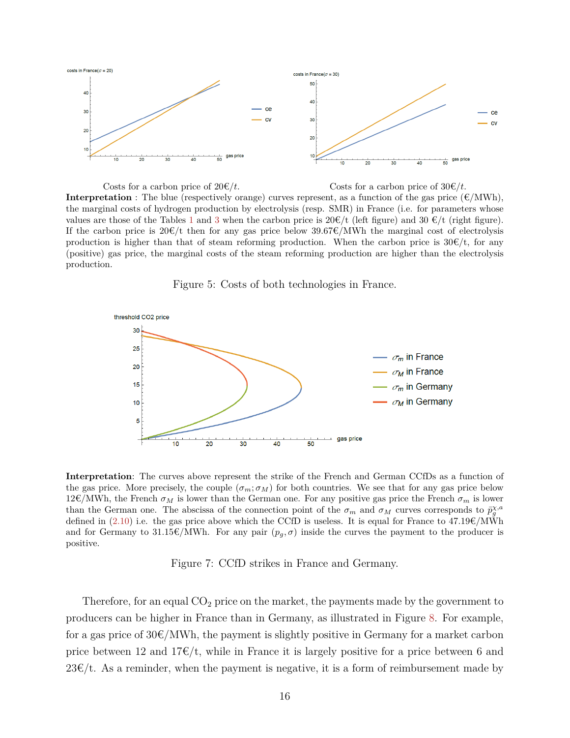<span id="page-16-0"></span>

Costs for a carbon price of  $20 \in \mathcal{C}/t$ . Costs for a carbon price of  $30 \in \mathcal{C}/t$ . **Interpretation** : The blue (respectively orange) curves represent, as a function of the gas price  $(\mathcal{E}/\text{MWh})$ , the marginal costs of hydrogen production by electrolysis (resp. SMR) in France (i.e. for parameters whose values are those of the Tables [1](#page-12-0) and [3](#page-13-0) when the carbon price is  $20 \in \mathcal{H}$  (referse figure). If the carbon price is  $20\epsilon/t$  then for any gas price below  $39.67\epsilon/MWh$  the marginal cost of electrolysis production is higher than that of steam reforming production. When the carbon price is  $30 \text{E/t}$ , for any (positive) gas price, the marginal costs of the steam reforming production are higher than the electrolysis production.





**Interpretation**: The curves above represent the strike of the French and German CCfDs as a function of the gas price. More precisely, the couple  $(\sigma_m; \sigma_M)$  for both countries. We see that for any gas price below  $12 \in \text{/MWh}$ , the French  $\sigma_M$  is lower than the German one. For any positive gas price the French  $\sigma_m$  is lower than the German one. The abscissa of the connection point of the  $\sigma_m$  and  $\sigma_M$  curves corresponds to  $\bar{p}_g^{\chi,a}$ defined in [\(2.10\)](#page-8-2) i.e. the gas price above which the CCfD is useless. It is equal for France to  $47.19 \text{E}/\text{MWh}$ and for Germany to 31.15 $\epsilon/MWh$ . For any pair  $(p_g, \sigma)$  inside the curves the payment to the producer is positive.

Figure 7: CCfD strikes in France and Germany.

Therefore, for an equal  $CO<sub>2</sub>$  price on the market, the payments made by the government to producers can be higher in France than in Germany, as illustrated in Figure [8.](#page-17-1) For example, for a gas price of  $30\epsilon/MWh$ , the payment is slightly positive in Germany for a market carbon price between 12 and  $17\epsilon/t$ , while in France it is largely positive for a price between 6 and  $23\epsilon/t$ . As a reminder, when the payment is negative, it is a form of reimbursement made by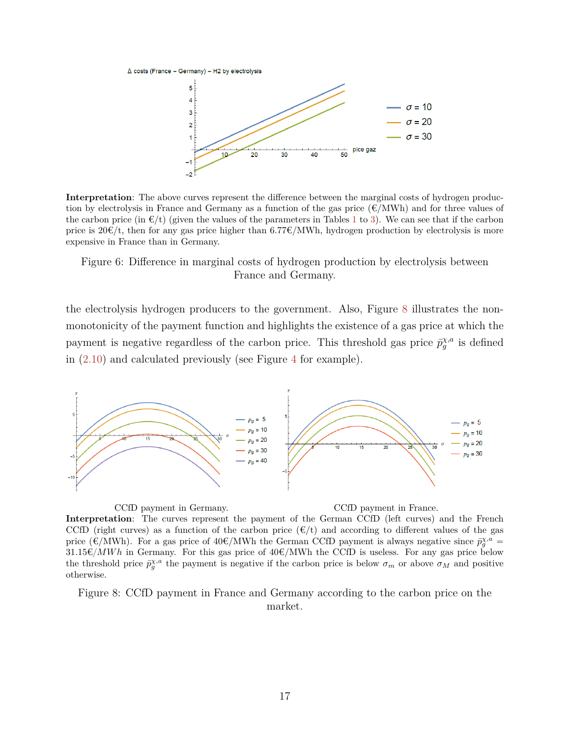<span id="page-17-0"></span> $\Delta$  costs (France - Germany) - H2 by electrolysis



**Interpretation**: The above curves represent the difference between the marginal costs of hydrogen production by electrolysis in France and Germany as a function of the gas price  $(\epsilon/MWh)$  and for three values of the carbon price (in  $\epsilon/t$ ) (given the values of the parameters in Tables [1](#page-12-0) to [3\)](#page-13-0). We can see that if the carbon price is  $20\epsilon/t$ , then for any gas price higher than 6.77 $\epsilon/MWh$ , hydrogen production by electrolysis is more expensive in France than in Germany.

#### Figure 6: Difference in marginal costs of hydrogen production by electrolysis between France and Germany.

the electrolysis hydrogen producers to the government. Also, Figure [8](#page-17-1) illustrates the nonmonotonicity of the payment function and highlights the existence of a gas price at which the payment is negative regardless of the carbon price. This threshold gas price  $\bar{p}_{g}^{\chi,a}$  is defined in [\(2.10\)](#page-8-2) and calculated previously (see Figure [4](#page-29-0) for example).

<span id="page-17-1"></span>

CCfD payment in Germany. CCfD payment in France. **Interpretation**: The curves represent the payment of the German CCfD (left curves) and the French CCfD (right curves) as a function of the carbon price  $(\epsilon/t)$  and according to different values of the gas price ( $\epsilon/MWh$ ). For a gas price of 40 $\epsilon/MWh$  the German CCfD payment is always negative since  $\bar{p}_g^{\chi,a}$  $31.15\epsilon/MWh$  in Germany. For this gas price of  $40\epsilon/MWh$  the CCfD is useless. For any gas price below the threshold price  $\bar{p}_{g}^{\chi,a}$  the payment is negative if the carbon price is below  $\sigma_m$  or above  $\sigma_M$  and positive otherwise.

Figure 8: CCfD payment in France and Germany according to the carbon price on the market.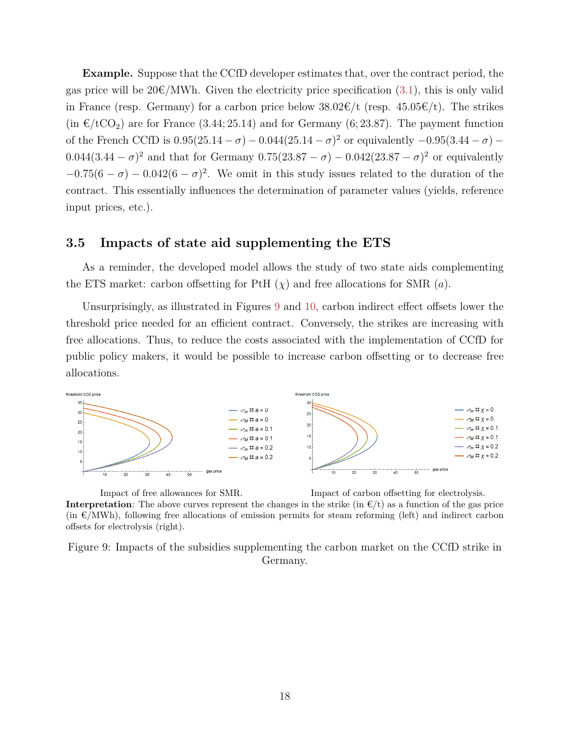**Example.** Suppose that the CCfD developer estimates that, over the contract period, the gas price will be  $20\epsilon/MWh$ . Given the electricity price specification [\(3.1\)](#page-11-0), this is only valid in France (resp. Germany) for a carbon price below  $38.02 \times /t$  (resp.  $45.05 \times /t$ ). The strikes  $(\text{in } \in / tCO_2)$  are for France  $(3.44; 25.14)$  and for Germany  $(6; 23.87)$ . The payment function of the French CCfD is  $0.95(25.14 - \sigma) - 0.044(25.14 - \sigma)^2$  or equivalently  $-0.95(3.44 - \sigma)$  $0.044(3.44 - \sigma)^2$  and that for Germany  $0.75(23.87 - \sigma) - 0.042(23.87 - \sigma)^2$  or equivalently  $-0.75(6 - \sigma) - 0.042(6 - \sigma)^2$ . We omit in this study issues related to the duration of the contract. This essentially influences the determination of parameter values (yields, reference input prices, etc.).

## **3.5 Impacts of state aid supplementing the ETS**

As a reminder, the developed model allows the study of two state aids complementing the ETS market: carbon offsetting for PtH  $(\chi)$  and free allocations for SMR  $(a)$ .

Unsurprisingly, as illustrated in Figures [9](#page-18-0) and [10,](#page-19-0) carbon indirect effect offsets lower the threshold price needed for an efficient contract. Conversely, the strikes are increasing with free allocations. Thus, to reduce the costs associated with the implementation of CCfD for public policy makers, it would be possible to increase carbon offsetting or to decrease free allocations.

<span id="page-18-0"></span>

Impact of free allowances for SMR. Impact of carbon offsetting for electrolysis.

**Interpretation**: The above curves represent the changes in the strike (in  $E/t$ ) as a function of the gas price  $(in \in N/MWh)$ , following free allocations of emission permits for steam reforming (left) and indirect carbon offsets for electrolysis (right).

Figure 9: Impacts of the subsidies supplementing the carbon market on the CCfD strike in Germany.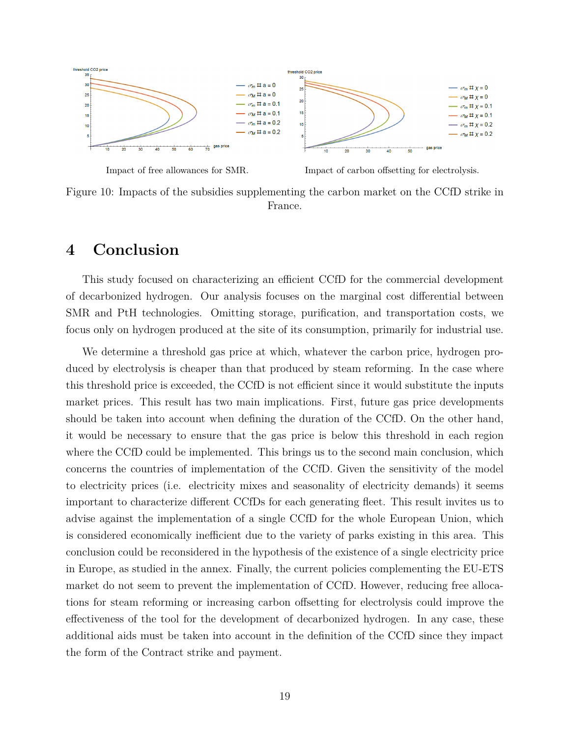<span id="page-19-0"></span>

Impact of free allowances for SMR. Impact of carbon offsetting for electrolysis.

Figure 10: Impacts of the subsidies supplementing the carbon market on the CCfD strike in France.

## **4 Conclusion**

This study focused on characterizing an efficient CCfD for the commercial development of decarbonized hydrogen. Our analysis focuses on the marginal cost differential between SMR and PtH technologies. Omitting storage, purification, and transportation costs, we focus only on hydrogen produced at the site of its consumption, primarily for industrial use.

We determine a threshold gas price at which, whatever the carbon price, hydrogen produced by electrolysis is cheaper than that produced by steam reforming. In the case where this threshold price is exceeded, the CCfD is not efficient since it would substitute the inputs market prices. This result has two main implications. First, future gas price developments should be taken into account when defining the duration of the CCfD. On the other hand, it would be necessary to ensure that the gas price is below this threshold in each region where the CCfD could be implemented. This brings us to the second main conclusion, which concerns the countries of implementation of the CCfD. Given the sensitivity of the model to electricity prices (i.e. electricity mixes and seasonality of electricity demands) it seems important to characterize different CCfDs for each generating fleet. This result invites us to advise against the implementation of a single CCfD for the whole European Union, which is considered economically inefficient due to the variety of parks existing in this area. This conclusion could be reconsidered in the hypothesis of the existence of a single electricity price in Europe, as studied in the annex. Finally, the current policies complementing the EU-ETS market do not seem to prevent the implementation of CCfD. However, reducing free allocations for steam reforming or increasing carbon offsetting for electrolysis could improve the effectiveness of the tool for the development of decarbonized hydrogen. In any case, these additional aids must be taken into account in the definition of the CCfD since they impact the form of the Contract strike and payment.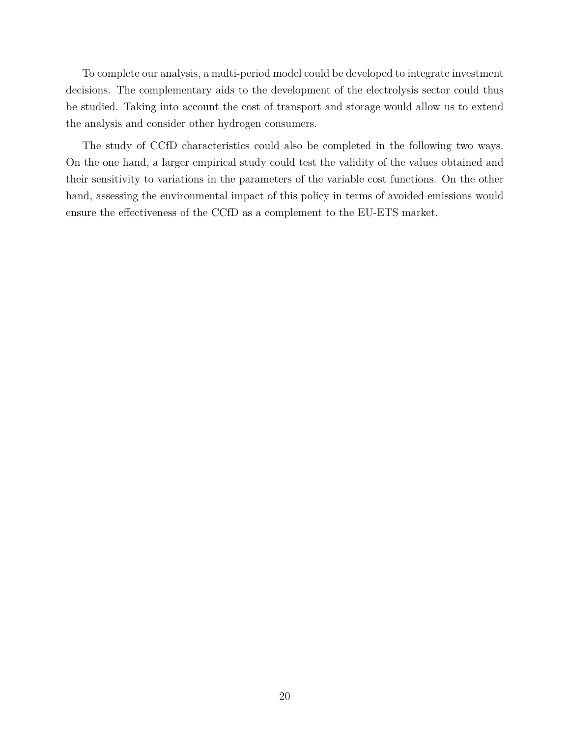To complete our analysis, a multi-period model could be developed to integrate investment decisions. The complementary aids to the development of the electrolysis sector could thus be studied. Taking into account the cost of transport and storage would allow us to extend the analysis and consider other hydrogen consumers.

The study of CCfD characteristics could also be completed in the following two ways. On the one hand, a larger empirical study could test the validity of the values obtained and their sensitivity to variations in the parameters of the variable cost functions. On the other hand, assessing the environmental impact of this policy in terms of avoided emissions would ensure the effectiveness of the CCfD as a complement to the EU-ETS market.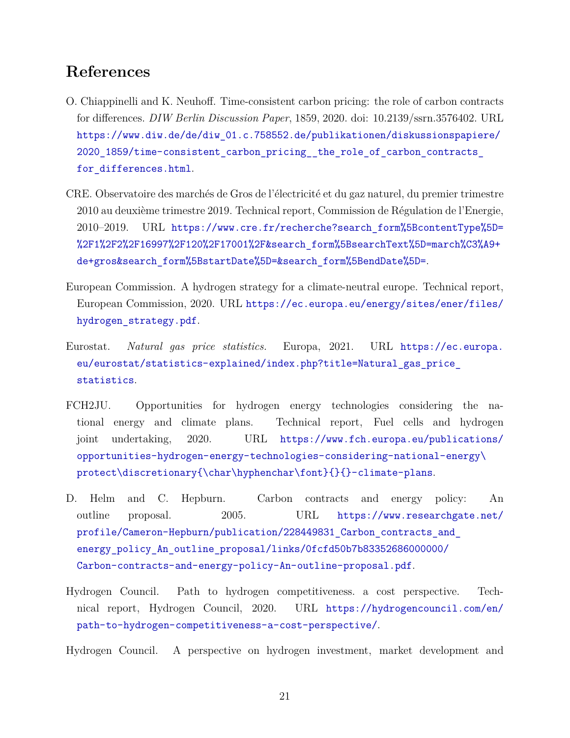# **References**

- <span id="page-21-5"></span>O. Chiappinelli and K. Neuhoff. Time-consistent carbon pricing: the role of carbon contracts for differences. *DIW Berlin Discussion Paper*, 1859, 2020. doi: 10.2139/ssrn.3576402. URL [https://www.diw.de/de/diw\\_01.c.758552.de/publikationen/diskussionspapiere/](https://www.diw.de/de/diw_01.c.758552.de/publikationen/diskussionspapiere/2020_1859/time-consistent_carbon_pricing__the_role_of_carbon_contracts_for_differences.html) 2020 1859/time-consistent carbon pricing the role of carbon contracts [for\\_differences.html](https://www.diw.de/de/diw_01.c.758552.de/publikationen/diskussionspapiere/2020_1859/time-consistent_carbon_pricing__the_role_of_carbon_contracts_for_differences.html).
- <span id="page-21-6"></span>CRE. Observatoire des marchés de Gros de l'électricité et du gaz naturel, du premier trimestre 2010 au deuxième trimestre 2019. Technical report, Commission de Régulation de l'Energie, 2010–2019. URL [https://www.cre.fr/recherche?search\\_form%5BcontentType%5D=](https://www.cre.fr/recherche?search_form%5BcontentType%5D=%2F1%2F2%2F16997%2F120%2F17001%2F&search_form%5BsearchText%5D=march%C3%A9+de+gros&search_form%5BstartDate%5D=&search_form%5BendDate%5D=) [%2F1%2F2%2F16997%2F120%2F17001%2F&search\\_form%5BsearchText%5D=march%C3%A9+](https://www.cre.fr/recherche?search_form%5BcontentType%5D=%2F1%2F2%2F16997%2F120%2F17001%2F&search_form%5BsearchText%5D=march%C3%A9+de+gros&search_form%5BstartDate%5D=&search_form%5BendDate%5D=) [de+gros&search\\_form%5BstartDate%5D=&search\\_form%5BendDate%5D=](https://www.cre.fr/recherche?search_form%5BcontentType%5D=%2F1%2F2%2F16997%2F120%2F17001%2F&search_form%5BsearchText%5D=march%C3%A9+de+gros&search_form%5BstartDate%5D=&search_form%5BendDate%5D=).
- <span id="page-21-1"></span>European Commission. A hydrogen strategy for a climate-neutral europe. Technical report, European Commission, 2020. URL [https://ec.europa.eu/energy/sites/ener/files/](https://ec.europa.eu/energy/sites/ener/files/hydrogen_strategy.pdf) [hydrogen\\_strategy.pdf](https://ec.europa.eu/energy/sites/ener/files/hydrogen_strategy.pdf).
- <span id="page-21-7"></span>Eurostat. *Natural gas price statistics.* Europa, 2021. URL [https://ec.europa.](https://ec.europa.eu/eurostat/statistics-explained/index.php?title=Natural_gas_price_statistics) [eu/eurostat/statistics-explained/index.php?title=Natural\\_gas\\_price\\_](https://ec.europa.eu/eurostat/statistics-explained/index.php?title=Natural_gas_price_statistics) [statistics](https://ec.europa.eu/eurostat/statistics-explained/index.php?title=Natural_gas_price_statistics).
- <span id="page-21-0"></span>FCH2JU. Opportunities for hydrogen energy technologies considering the national energy and climate plans. Technical report, Fuel cells and hydrogen joint undertaking, 2020. URL [https://www.fch.europa.eu/publications/](https://www.fch.europa.eu/publications/opportunities-hydrogen-energy-technologies-considering-national-energy\protect \discretionary {\char \hyphenchar \font }{}{}-climate-plans) [opportunities-hydrogen-energy-technologies-considering-national-energy\](https://www.fch.europa.eu/publications/opportunities-hydrogen-energy-technologies-considering-national-energy\protect \discretionary {\char \hyphenchar \font }{}{}-climate-plans) [protect\discretionary{\char\hyphenchar\font}{}{}-climate-plans](https://www.fch.europa.eu/publications/opportunities-hydrogen-energy-technologies-considering-national-energy\protect \discretionary {\char \hyphenchar \font }{}{}-climate-plans).
- <span id="page-21-4"></span>D. Helm and C. Hepburn. Carbon contracts and energy policy: An outline proposal. 2005. URL [https://www.researchgate.net/](https://www.researchgate.net/profile/Cameron-Hepburn/publication/228449831_Carbon_contracts_and_energy_policy_An_outline_proposal/links/0fcfd50b7b83352686000000/Carbon-contracts-and-energy-policy-An-outline-proposal.pdf) [profile/Cameron-Hepburn/publication/228449831\\_Carbon\\_contracts\\_and\\_](https://www.researchgate.net/profile/Cameron-Hepburn/publication/228449831_Carbon_contracts_and_energy_policy_An_outline_proposal/links/0fcfd50b7b83352686000000/Carbon-contracts-and-energy-policy-An-outline-proposal.pdf) [energy\\_policy\\_An\\_outline\\_proposal/links/0fcfd50b7b83352686000000/](https://www.researchgate.net/profile/Cameron-Hepburn/publication/228449831_Carbon_contracts_and_energy_policy_An_outline_proposal/links/0fcfd50b7b83352686000000/Carbon-contracts-and-energy-policy-An-outline-proposal.pdf) [Carbon-contracts-and-energy-policy-An-outline-proposal.pdf](https://www.researchgate.net/profile/Cameron-Hepburn/publication/228449831_Carbon_contracts_and_energy_policy_An_outline_proposal/links/0fcfd50b7b83352686000000/Carbon-contracts-and-energy-policy-An-outline-proposal.pdf).
- <span id="page-21-2"></span>Hydrogen Council. Path to hydrogen competitiveness. a cost perspective. Technical report, Hydrogen Council, 2020. URL [https://hydrogencouncil.com/en/](https://hydrogencouncil.com/en/path-to-hydrogen-competitiveness-a-cost-perspective/) [path-to-hydrogen-competitiveness-a-cost-perspective/](https://hydrogencouncil.com/en/path-to-hydrogen-competitiveness-a-cost-perspective/).

<span id="page-21-3"></span>Hydrogen Council. A perspective on hydrogen investment, market development and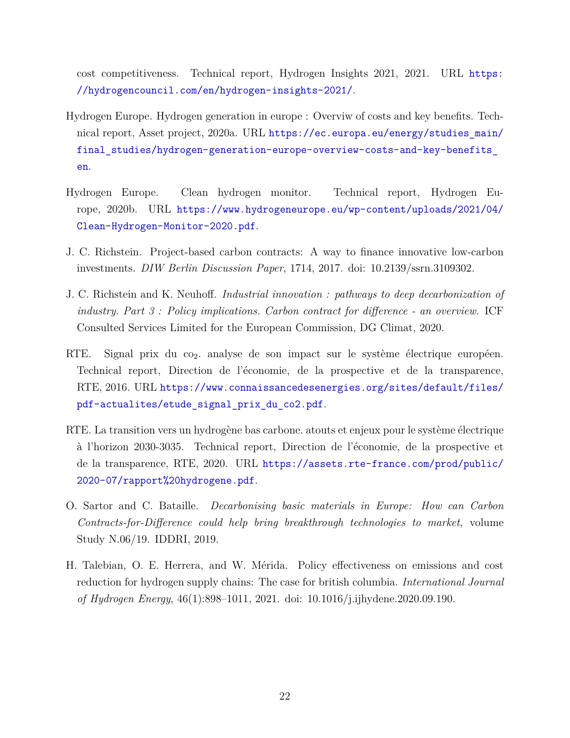cost competitiveness. Technical report, Hydrogen Insights 2021, 2021. URL [https:](https://hydrogencouncil.com/en/hydrogen-insights-2021/) [//hydrogencouncil.com/en/hydrogen-insights-2021/](https://hydrogencouncil.com/en/hydrogen-insights-2021/).

- <span id="page-22-7"></span>Hydrogen Europe. Hydrogen generation in europe : Overviw of costs and key benefits. Technical report, Asset project, 2020a. URL [https://ec.europa.eu/energy/studies\\_main/](https://ec.europa.eu/energy/studies_main/final_studies/hydrogen-generation-europe-overview-costs-and-key-benefits_en) final\_studies/hydrogen-generation-europe-overview-costs-and-key-benefits [en](https://ec.europa.eu/energy/studies_main/final_studies/hydrogen-generation-europe-overview-costs-and-key-benefits_en).
- <span id="page-22-0"></span>Hydrogen Europe. Clean hydrogen monitor. Technical report, Hydrogen Europe, 2020b. URL [https://www.hydrogeneurope.eu/wp-content/uploads/2021/04/](https://www.hydrogeneurope.eu/wp-content/uploads/2021/04/Clean-Hydrogen-Monitor-2020.pdf) [Clean-Hydrogen-Monitor-2020.pdf](https://www.hydrogeneurope.eu/wp-content/uploads/2021/04/Clean-Hydrogen-Monitor-2020.pdf).
- <span id="page-22-3"></span>J. C. Richstein. Project-based carbon contracts: A way to finance innovative low-carbon investments. *DIW Berlin Discussion Paper*, 1714, 2017. doi: 10.2139/ssrn.3109302.
- <span id="page-22-4"></span>J. C. Richstein and K. Neuhoff. *Industrial innovation : pathways to deep decarbonization of industry. Part 3 : Policy implications. Carbon contract for difference - an overview.* ICF Consulted Services Limited for the European Commission, DG Climat, 2020.
- <span id="page-22-6"></span>RTE. Signal prix du  $\cos$  analyse de son impact sur le système électrique européen. Technical report, Direction de l'économie, de la prospective et de la transparence, RTE, 2016. URL [https://www.connaissancedesenergies.org/sites/default/files/](https://www.connaissancedesenergies.org/sites/default/files/pdf-actualites/etude_signal_prix_du_co2.pdf) [pdf-actualites/etude\\_signal\\_prix\\_du\\_co2.pdf](https://www.connaissancedesenergies.org/sites/default/files/pdf-actualites/etude_signal_prix_du_co2.pdf).
- <span id="page-22-2"></span>RTE. La transition vers un hydrogène bas carbone. atouts et enjeux pour le système électrique à l'horizon 2030-3035. Technical report, Direction de l'économie, de la prospective et de la transparence, RTE, 2020. URL [https://assets.rte-france.com/prod/public/](https://assets.rte-france.com/prod/public/2020-07/rapport%20hydrogene.pdf) [2020-07/rapport%20hydrogene.pdf](https://assets.rte-france.com/prod/public/2020-07/rapport%20hydrogene.pdf).
- <span id="page-22-1"></span>O. Sartor and C. Bataille. *Decarbonising basic materials in Europe: How can Carbon Contracts-for-Difference could help bring breakthrough technologies to market*, volume Study N.06/19. IDDRI, 2019.
- <span id="page-22-5"></span>H. Talebian, O. E. Herrera, and W. Mérida. Policy effectiveness on emissions and cost reduction for hydrogen supply chains: The case for british columbia. *International Journal of Hydrogen Energy*, 46(1):898–1011, 2021. doi: 10.1016/j.ijhydene.2020.09.190.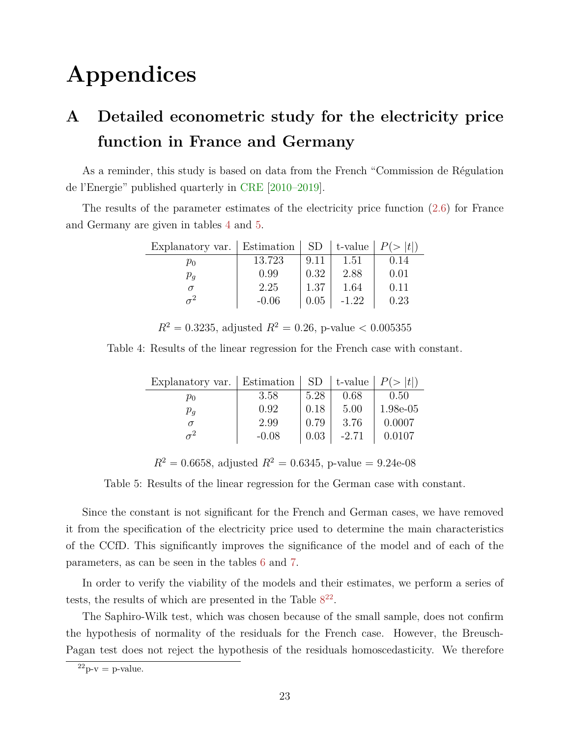# **Appendices**

# <span id="page-23-0"></span>**A Detailed econometric study for the electricity price function in France and Germany**

As a reminder, this study is based on data from the French "Commission de Régulation de l'Energie" published quarterly in [CRE](#page-21-6) [\[2010–2019\]](#page-21-6).

<span id="page-23-1"></span>The results of the parameter estimates of the electricity price function [\(2.6\)](#page-7-0) for France and Germany are given in tables [4](#page-23-1) and [5.](#page-23-2)

| Explanatory var. | Estimation | <b>SD</b> | $\vert$ t-value | P(><br> t |
|------------------|------------|-----------|-----------------|-----------|
| $p_0$            | 13.723     | 9.11      | 1.51            | 0.14      |
| $p_{\bm{q}}$     | 0.99       | 0.32      | 2.88            | 0.01      |
|                  | 2.25       | 1.37      | 1.64            | 0.11      |
|                  | $-0.06$    | 0.05      | $-1.22$         | 0.23      |

 $R^2 = 0.3235$ , adjusted  $R^2 = 0.26$ , p-value  $< 0.005355$ 

<span id="page-23-2"></span>Table 4: Results of the linear regression for the French case with constant.

| Explanatory var. | <b>Estimation</b> | SD   | $\vert$ t-value $\vert$ | P(> t )    |
|------------------|-------------------|------|-------------------------|------------|
| $p_0$            | 3.58              | 5.28 | 0.68                    | 0.50       |
| $p_{q}$          | 0.92              | 0.18 | 5.00                    | $1.98e-05$ |
|                  | 2.99              | 0.79 | 3.76                    | 0.0007     |
|                  | $-0.08$           | 0.03 | $-2.71$                 | 0.0107     |

 $R^2 = 0.6658$ , adjusted  $R^2 = 0.6345$ , p-value = 9.24e-08

Table 5: Results of the linear regression for the German case with constant.

Since the constant is not significant for the French and German cases, we have removed it from the specification of the electricity price used to determine the main characteristics of the CCfD. This significantly improves the significance of the model and of each of the parameters, as can be seen in the tables [6](#page-24-0) and [7.](#page-24-1)

In order to verify the viability of the models and their estimates, we perform a series of tests, the results of which are presented in the Table  $8^{22}$  $8^{22}$  $8^{22}$  $8^{22}$ .

The Saphiro-Wilk test, which was chosen because of the small sample, does not confirm the hypothesis of normality of the residuals for the French case. However, the Breusch-Pagan test does not reject the hypothesis of the residuals homoscedasticity. We therefore

 $^{22}$ p-v = p-value.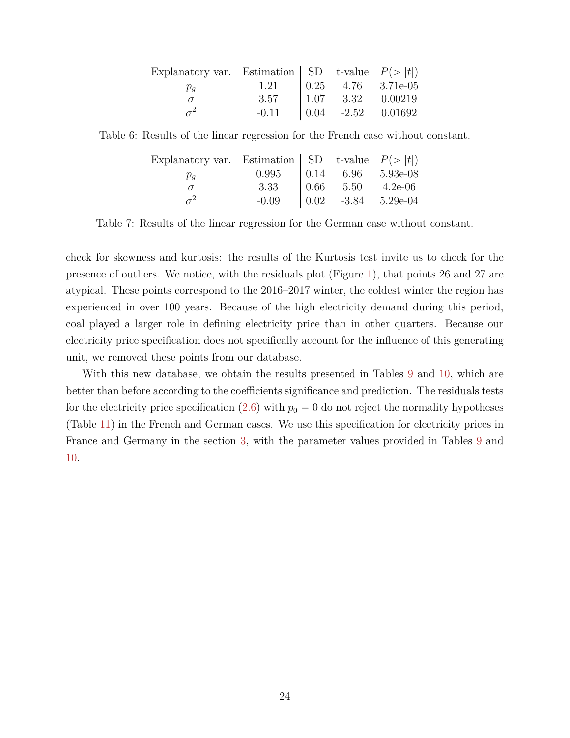| Explanatory var.   Estimation   SD   t-value   $P(>  t )$ |         |      |         |                  |
|-----------------------------------------------------------|---------|------|---------|------------------|
| $\mu_a$                                                   | 1.21    | 0.25 | 4.76    | $\pm 3.71e{-05}$ |
|                                                           | 3.57    | 1.07 | 3.32    | 0.00219          |
|                                                           | $-0.11$ | 0.04 | $-2.52$ | $\perp 0.01692$  |

<span id="page-24-1"></span><span id="page-24-0"></span>Table 6: Results of the linear regression for the French case without constant.

| Explanatory var.   Estimation   SD   t-value   $P(>  t )$ |         |      |      |                               |
|-----------------------------------------------------------|---------|------|------|-------------------------------|
| $\mu_a$                                                   | 0.995   | 0.14 | 6.96 | $ 5.93e-08$                   |
|                                                           | -3.33   | 0.66 | 5.50 | $4.2e-06$                     |
|                                                           | $-0.09$ |      |      | $0.02$   $-3.84$   $5.29e-04$ |

Table 7: Results of the linear regression for the German case without constant.

check for skewness and kurtosis: the results of the Kurtosis test invite us to check for the presence of outliers. We notice, with the residuals plot (Figure [1\)](#page-26-0), that points 26 and 27 are atypical. These points correspond to the 2016–2017 winter, the coldest winter the region has experienced in over 100 years. Because of the high electricity demand during this period, coal played a larger role in defining electricity price than in other quarters. Because our electricity price specification does not specifically account for the influence of this generating unit, we removed these points from our database.

With this new database, we obtain the results presented in Tables [9](#page-25-1) and [10,](#page-25-2) which are better than before according to the coefficients significance and prediction. The residuals tests for the electricity price specification  $(2.6)$  with  $p_0 = 0$  do not reject the normality hypotheses (Table [11\)](#page-25-3) in the French and German cases. We use this specification for electricity prices in France and Germany in the section [3,](#page-10-0) with the parameter values provided in Tables [9](#page-25-1) and [10.](#page-25-2)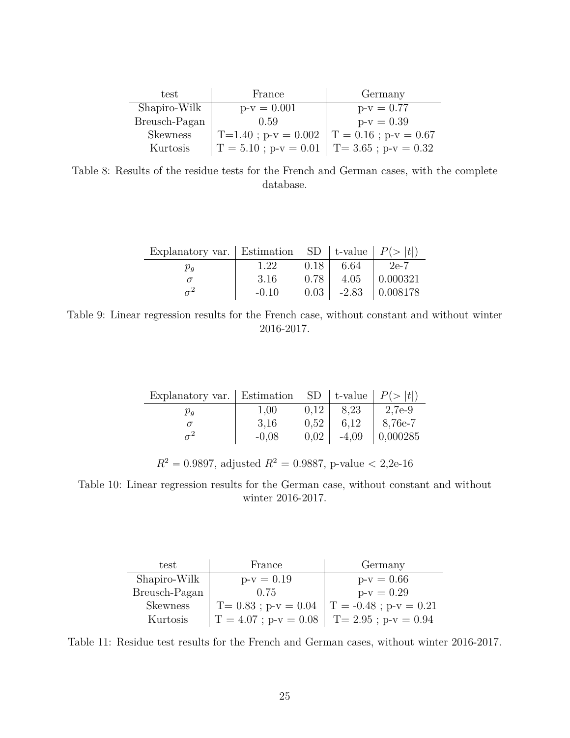<span id="page-25-0"></span>

| test            | France                                         | Germany      |
|-----------------|------------------------------------------------|--------------|
| Shapiro-Wilk    | $p-v = 0.001$                                  | $p-v = 0.77$ |
| Breusch-Pagan   | (0.59)                                         | $p-v = 0.39$ |
| <b>Skewness</b> | T=1.40; $p-v = 0.002$   T = 0.16; $p-v = 0.67$ |              |
| Kurtosis        | $T = 5.10$ ; p-v = 0.01   T= 3.65; p-v = 0.32  |              |

Table 8: Results of the residue tests for the French and German cases, with the complete database.

| Explanatory var.   Estimation   SD   t-value   $P(>  t )$ |         |      |      |                                |
|-----------------------------------------------------------|---------|------|------|--------------------------------|
| $\mu_a$                                                   | 1.22    | 0.18 | 6.64 | $2e-7$                         |
|                                                           | 3.16    | 0.78 | 4.05 | $\mid 0.000321$                |
|                                                           | $-0.10$ |      |      | $\mid$ 0.03   -2.83   0.008178 |

<span id="page-25-2"></span><span id="page-25-1"></span>Table 9: Linear regression results for the French case, without constant and without winter 2016-2017.

| Explanatory var.   Estimation   SD   t-value   $P(>  t )$ |         |      |         |          |
|-----------------------------------------------------------|---------|------|---------|----------|
| $\mu_q$                                                   | 1.00    | 0.12 | 8.23    | 2,7e-9   |
|                                                           | -3.16   | 0.52 | 6.12    | 8,76e-7  |
|                                                           | $-0.08$ | 0.02 | $-4,09$ | 0,000285 |

 $R^2 = 0.9897$ , adjusted  $R^2 = 0.9887$ , p-value  $\lt 2,2e-16$ 

Table 10: Linear regression results for the German case, without constant and without winter 2016-2017.

<span id="page-25-3"></span>

| test            | France                                        | Germany                  |
|-----------------|-----------------------------------------------|--------------------------|
| Shapiro-Wilk    | $p-v = 0.19$                                  | $p-v = 0.66$             |
| Breusch-Pagan   | 0.75                                          | $p-v = 0.29$             |
| <b>Skewness</b> | $T = 0.83$ ; p-v = 0.04                       | $T = -0.48$ ; p-v = 0.21 |
| Kurtosis        | $T = 4.07$ ; p-v = 0.08   T= 2.95; p-v = 0.94 |                          |

Table 11: Residue test results for the French and German cases, without winter 2016-2017.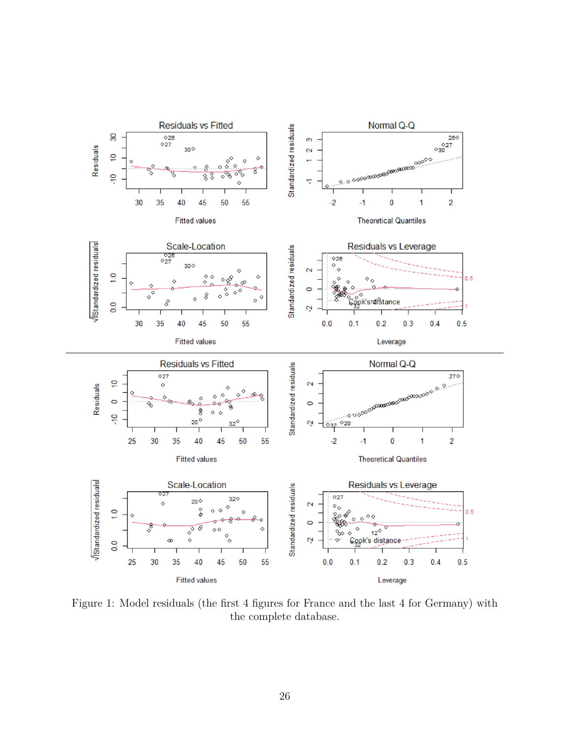<span id="page-26-0"></span>

Figure 1: Model residuals (the first 4 figures for France and the last 4 for Germany) with the complete database.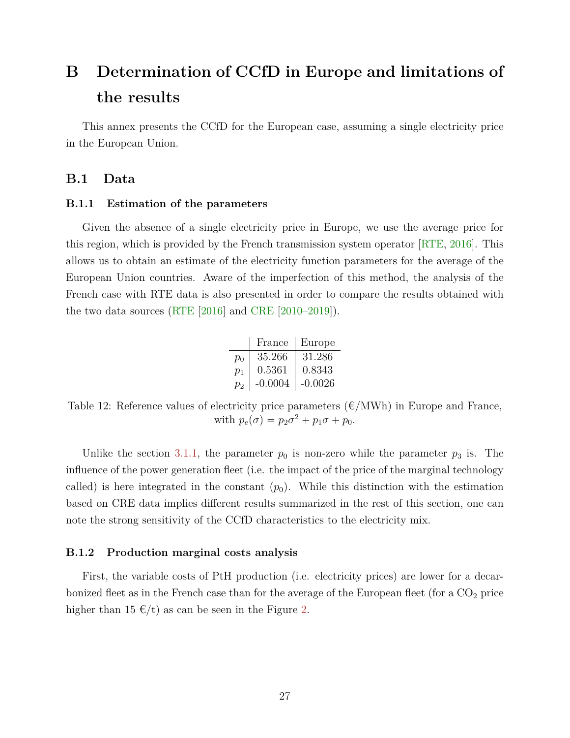# **B Determination of CCfD in Europe and limitations of the results**

This annex presents the CCfD for the European case, assuming a single electricity price in the European Union.

## **B.1 Data**

#### **B.1.1 Estimation of the parameters**

Given the absence of a single electricity price in Europe, we use the average price for this region, which is provided by the French transmission system operator [\[RTE,](#page-22-6) [2016\]](#page-22-6). This allows us to obtain an estimate of the electricity function parameters for the average of the European Union countries. Aware of the imperfection of this method, the analysis of the French case with RTE data is also presented in order to compare the results obtained with the two data sources [\(RTE](#page-22-6) [\[2016\]](#page-22-6) and [CRE](#page-21-6) [\[2010–2019\]](#page-21-6)).

|       | France    | Europe    |
|-------|-----------|-----------|
| $p_0$ | 35.266    | 31.286    |
| $p_1$ | 0.5361    | 0.8343    |
| $p_2$ | $-0.0004$ | $-0.0026$ |

<span id="page-27-0"></span>Table 12: Reference values of electricity price parameters  $(\text{\textsterling}/MWh)$  in Europe and France, with  $p_e(\sigma) = p_2\sigma^2 + p_1\sigma + p_0$ .

Unlike the section [3.1.1,](#page-11-1) the parameter  $p_0$  is non-zero while the parameter  $p_3$  is. The influence of the power generation fleet (i.e. the impact of the price of the marginal technology called) is here integrated in the constant  $(p_0)$ . While this distinction with the estimation based on CRE data implies different results summarized in the rest of this section, one can note the strong sensitivity of the CCfD characteristics to the electricity mix.

#### **B.1.2 Production marginal costs analysis**

First, the variable costs of PtH production (i.e. electricity prices) are lower for a decarbonized fleet as in the French case than for the average of the European fleet (for a  $CO<sub>2</sub>$  price higher than 15  $\epsilon/t$ ) as can be seen in the Figure [2.](#page-28-0)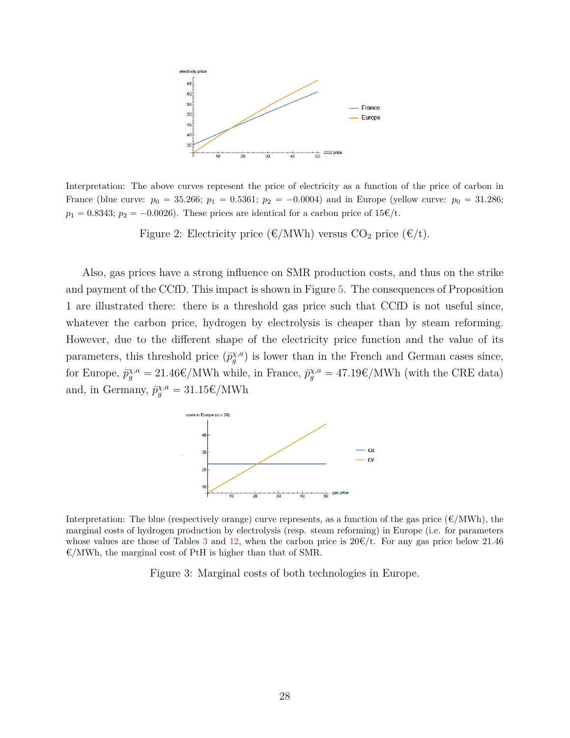<span id="page-28-0"></span>

Interpretation: The above curves represent the price of electricity as a function of the price of carbon in France (blue curve:  $p_0 = 35.266$ ;  $p_1 = 0.5361$ ;  $p_2 = -0.0004$ ) and in Europe (yellow curve:  $p_0 = 31.286$ ;  $p_1 = 0.8343$ ;  $p_2 = -0.0026$ ). These prices are identical for a carbon price of  $15\epsilon/t$ .

Figure 2: Electricity price ( $\epsilon/MWh$ ) versus CO<sub>2</sub> price ( $\epsilon/t$ ).

Also, gas prices have a strong influence on SMR production costs, and thus on the strike and payment of the CCfD. This impact is shown in Figure [5.](#page-29-1) The consequences of Proposition 1 are illustrated there: there is a threshold gas price such that CCfD is not useful since, whatever the carbon price, hydrogen by electrolysis is cheaper than by steam reforming. However, due to the different shape of the electricity price function and the value of its parameters, this threshold price  $(\bar{p}_{g}^{\chi,a})$  is lower than in the French and German cases since, for Europe,  $\bar{p}_g^{\chi,a} = 21.46 \epsilon / \text{MWh}$  while, in France,  $\bar{p}_g^{\chi,a} = 47.19 \epsilon / \text{MWh}$  (with the CRE data) and, in Germany,  $\bar{p}_{g}^{\chi,a} = 31.15 \epsilon / \text{MWh}$ 



Interpretation: The blue (respectively orange) curve represents, as a function of the gas price ( $\epsilon/MWh$ ), the marginal costs of hydrogen production by electrolysis (resp. steam reforming) in Europe (i.e. for parameters whose values are those of Tables [3](#page-13-0) and [12,](#page-27-0) when the carbon price is  $20 \times (t)$ . For any gas price below 21.46  $\epsilon/MWh$ , the marginal cost of PtH is higher than that of SMR.

Figure 3: Marginal costs of both technologies in Europe.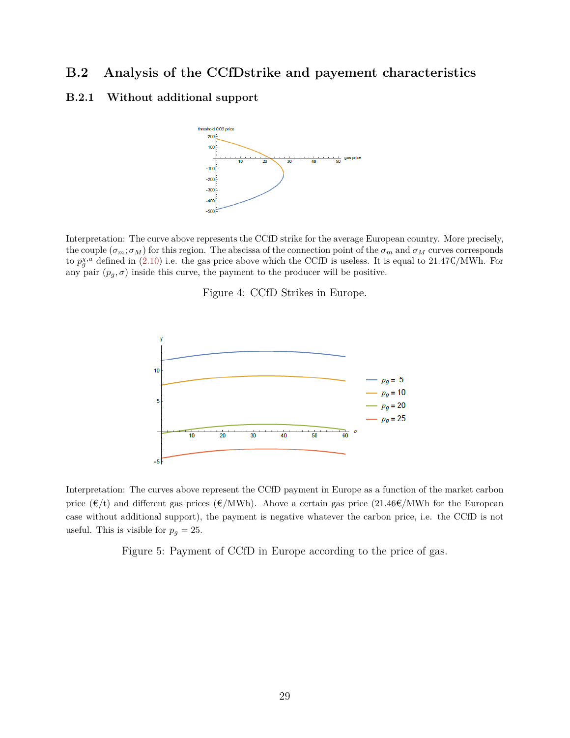## **B.2 Analysis of the CCfDstrike and payement characteristics**

## <span id="page-29-0"></span>**B.2.1 Without additional support**



Interpretation: The curve above represents the CCfD strike for the average European country. More precisely, the couple  $(\sigma_m; \sigma_M)$  for this region. The abscissa of the connection point of the  $\sigma_m$  and  $\sigma_M$  curves corresponds to  $\bar{p}_{g}^{\chi,a}$  defined in [\(2.10\)](#page-8-2) i.e. the gas price above which the CCfD is useless. It is equal to 21.47€/MWh. For any pair  $(p_q, \sigma)$  inside this curve, the payment to the producer will be positive.

Figure 4: CCfD Strikes in Europe.

<span id="page-29-1"></span>

Interpretation: The curves above represent the CCfD payment in Europe as a function of the market carbon price  $(\epsilon/t)$  and different gas prices  $(\epsilon/MWh)$ . Above a certain gas price  $(21.46\epsilon/MWh)$  for the European case without additional support), the payment is negative whatever the carbon price, i.e. the CCfD is not useful. This is visible for  $p_g = 25$ .

Figure 5: Payment of CCfD in Europe according to the price of gas.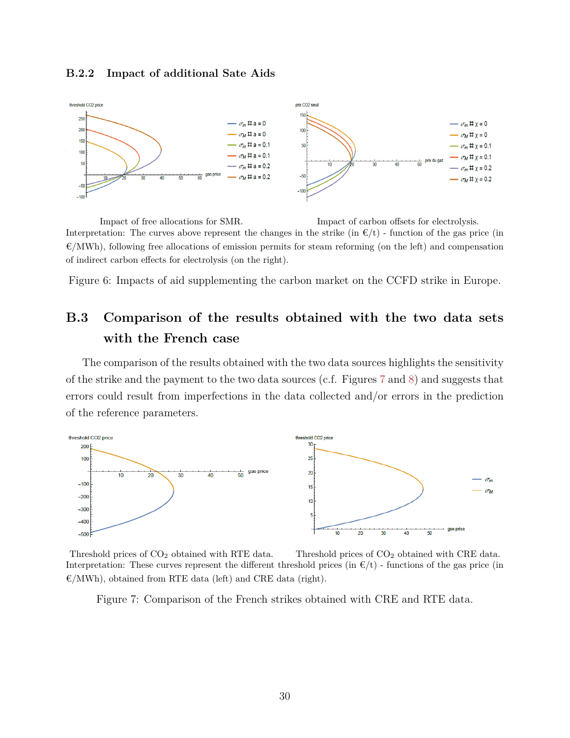#### **B.2.2 Impact of additional Sate Aids**



Impact of free allocations for SMR. Impact of carbon offsets for electrolysis. Interpretation: The curves above represent the changes in the strike (in  $\epsilon/t$ ) - function of the gas price (in  $\mathcal{E}/MWh$ , following free allocations of emission permits for steam reforming (on the left) and compensation of indirect carbon effects for electrolysis (on the right).

Figure 6: Impacts of aid supplementing the carbon market on the CCFD strike in Europe.

# **B.3 Comparison of the results obtained with the two data sets with the French case**

The comparison of the results obtained with the two data sources highlights the sensitivity of the strike and the payment to the two data sources (c.f. Figures [7](#page-30-0) and [8\)](#page-31-0) and suggests that errors could result from imperfections in the data collected and/or errors in the prediction of the reference parameters.

<span id="page-30-0"></span>

Threshold prices of  $CO<sub>2</sub>$  obtained with RTE data. Threshold prices of  $CO<sub>2</sub>$  obtained with CRE data. Interpretation: These curves represent the different threshold prices (in  $E/t$ ) - functions of the gas price (in  $\mathcal{E}/MWh$ , obtained from RTE data (left) and CRE data (right).

Figure 7: Comparison of the French strikes obtained with CRE and RTE data.